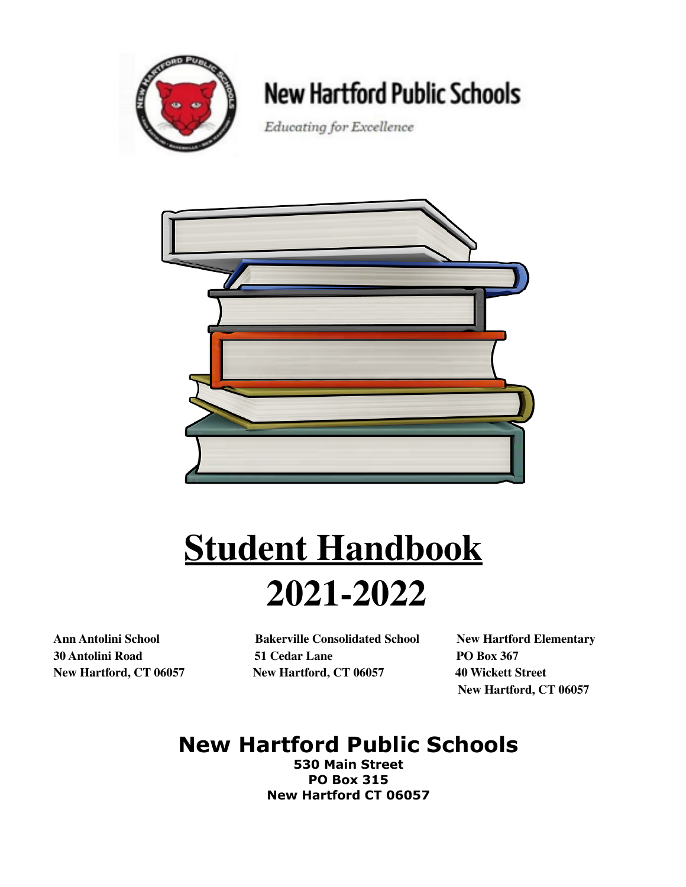

# **New Hartford Public Schools**

Educating for Excellence



# **Student Handbook 2021-2022**

**Ann Antolini School Bakerville Consolidated School New Hartford Elementary 30 Antolini Road 51 Cedar Lane PO Box 367 New Hartford, CT 06057 New Hartford, CT 06057 40 Wickett Street**

**New Hartford, CT 06057**

# **New Hartford Public Schools**

**530 Main Street PO Box 315 New Hartford CT 06057**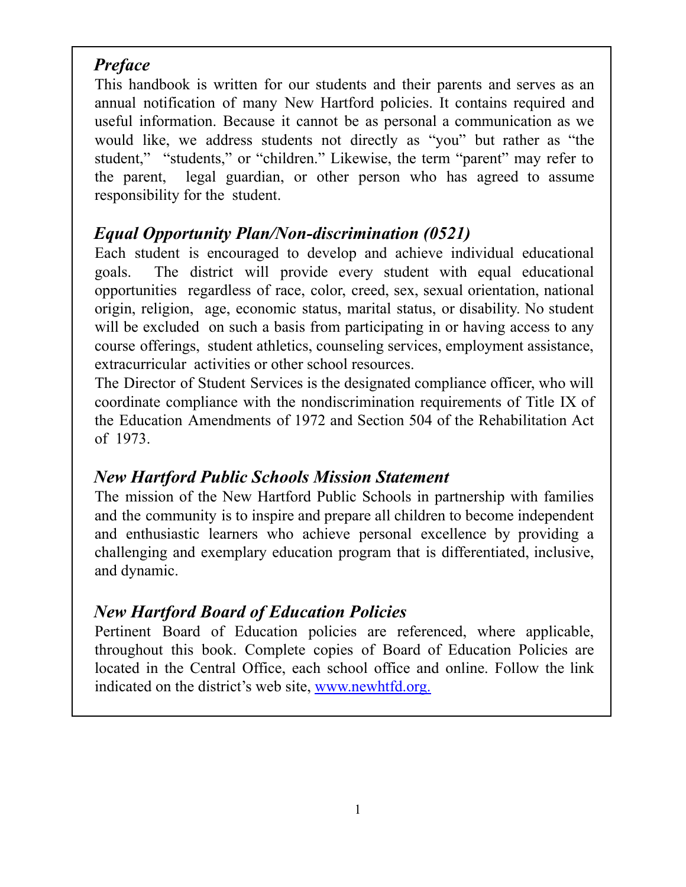# *Preface*

This handbook is written for our students and their parents and serves as an annual notification of many New Hartford policies. It contains required and useful information. Because it cannot be as personal a communication as we would like, we address students not directly as "you" but rather as "the student," "students," or "children." Likewise, the term "parent" may refer to the parent, legal guardian, or other person who has agreed to assume responsibility for the student.

# *Equal Opportunity Plan/Non-discrimination (0521)*

Each student is encouraged to develop and achieve individual educational goals. The district will provide every student with equal educational opportunities regardless of race, color, creed, sex, sexual orientation, national origin, religion, age, economic status, marital status, or disability. No student will be excluded on such a basis from participating in or having access to any course offerings, student athletics, counseling services, employment assistance, extracurricular activities or other school resources.

The Director of Student Services is the designated compliance officer, who will coordinate compliance with the nondiscrimination requirements of Title IX of the Education Amendments of 1972 and Section 504 of the Rehabilitation Act of 1973.

# *New Hartford Public Schools Mission Statement*

The mission of the New Hartford Public Schools in partnership with families and the community is to inspire and prepare all children to become independent and enthusiastic learners who achieve personal excellence by providing a challenging and exemplary education program that is differentiated, inclusive, and dynamic.

# *New Hartford Board of Education Policies*

Pertinent Board of Education policies are referenced, where applicable, throughout this book. Complete copies of Board of Education Policies are located in the Central Office, each school office and online. Follow the link indicated on the district's web site, www.newhtfd.org.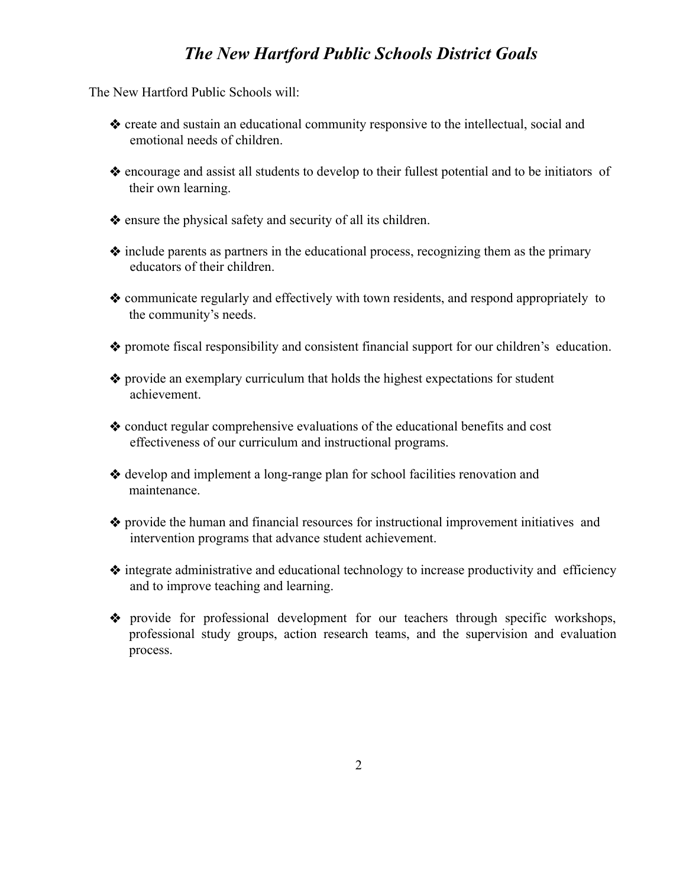# *The New Hartford Public Schools District Goals*

The New Hartford Public Schools will:

- ❖ create and sustain an educational community responsive to the intellectual, social and emotional needs of children.
- ❖ encourage and assist all students to develop to their fullest potential and to be initiators of their own learning.
- ❖ ensure the physical safety and security of all its children.
- ❖ include parents as partners in the educational process, recognizing them as the primary educators of their children.
- ❖ communicate regularly and effectively with town residents, and respond appropriately to the community's needs.
- ❖ promote fiscal responsibility and consistent financial support for our children's education.
- ❖ provide an exemplary curriculum that holds the highest expectations for student achievement.
- ❖ conduct regular comprehensive evaluations of the educational benefits and cost effectiveness of our curriculum and instructional programs.
- ❖ develop and implement a long-range plan for school facilities renovation and maintenance.
- ❖ provide the human and financial resources for instructional improvement initiatives and intervention programs that advance student achievement.
- ❖ integrate administrative and educational technology to increase productivity and efficiency and to improve teaching and learning.
- ❖ provide for professional development for our teachers through specific workshops, professional study groups, action research teams, and the supervision and evaluation process.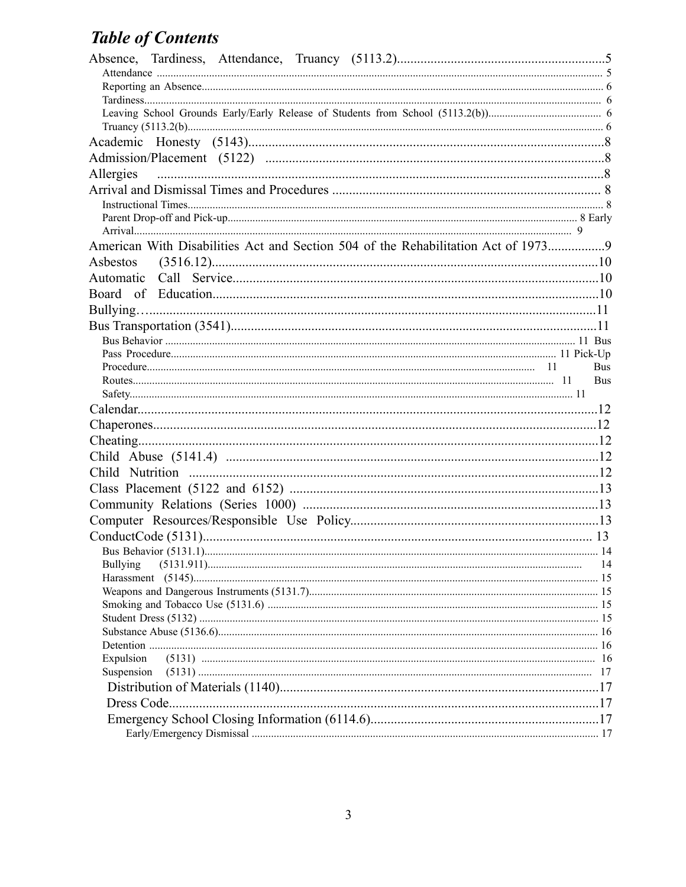# **Table of Contents**

| Allergies                                                                         |            |
|-----------------------------------------------------------------------------------|------------|
|                                                                                   |            |
|                                                                                   |            |
|                                                                                   |            |
| American With Disabilities Act and Section 504 of the Rehabilitation Act of 19739 |            |
|                                                                                   |            |
|                                                                                   |            |
|                                                                                   |            |
|                                                                                   |            |
|                                                                                   |            |
|                                                                                   |            |
|                                                                                   |            |
|                                                                                   | <b>Bus</b> |
|                                                                                   | <b>Bus</b> |
|                                                                                   |            |
|                                                                                   |            |
|                                                                                   |            |
|                                                                                   |            |
|                                                                                   |            |
|                                                                                   |            |
|                                                                                   |            |
|                                                                                   |            |
|                                                                                   |            |
|                                                                                   |            |
|                                                                                   |            |
| <b>Bullying</b>                                                                   | 14         |
|                                                                                   |            |
|                                                                                   |            |
|                                                                                   |            |
|                                                                                   |            |
|                                                                                   |            |
|                                                                                   |            |
| Expulsion                                                                         |            |
| Suspension                                                                        |            |
|                                                                                   |            |
| Dress Code                                                                        |            |
|                                                                                   |            |
|                                                                                   |            |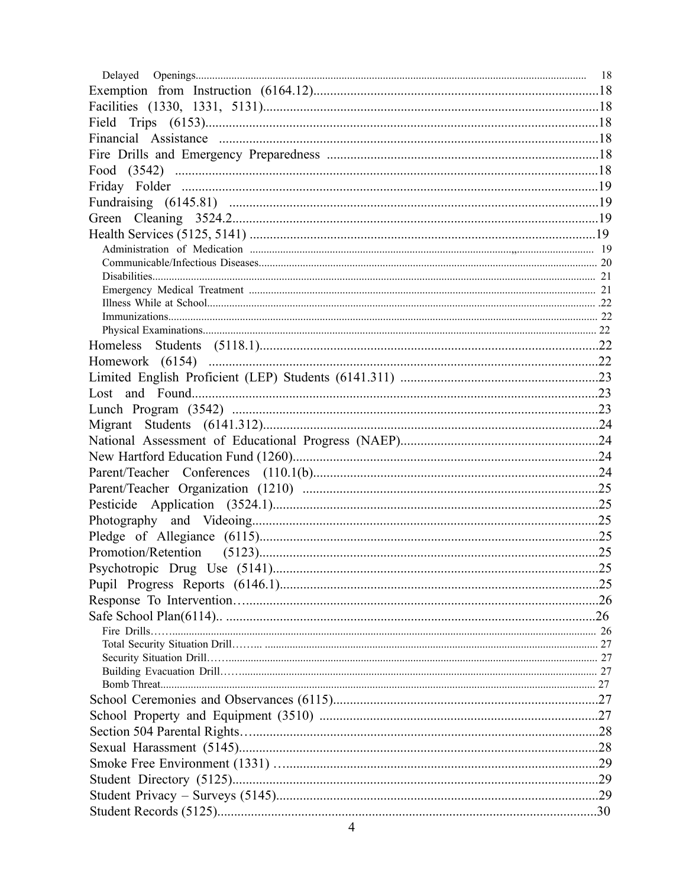| Delayed |    |
|---------|----|
|         |    |
|         |    |
|         |    |
|         |    |
|         |    |
|         |    |
|         |    |
|         |    |
|         |    |
|         |    |
|         |    |
|         |    |
|         |    |
|         |    |
|         |    |
|         |    |
|         |    |
|         |    |
|         |    |
|         |    |
|         |    |
|         |    |
|         |    |
|         |    |
|         |    |
|         |    |
|         |    |
|         |    |
|         |    |
|         |    |
|         | 25 |
|         |    |
|         |    |
|         |    |
|         |    |
|         |    |
|         |    |
|         |    |
|         |    |
|         |    |
|         |    |
|         |    |
|         |    |
|         |    |
|         |    |
|         |    |
|         |    |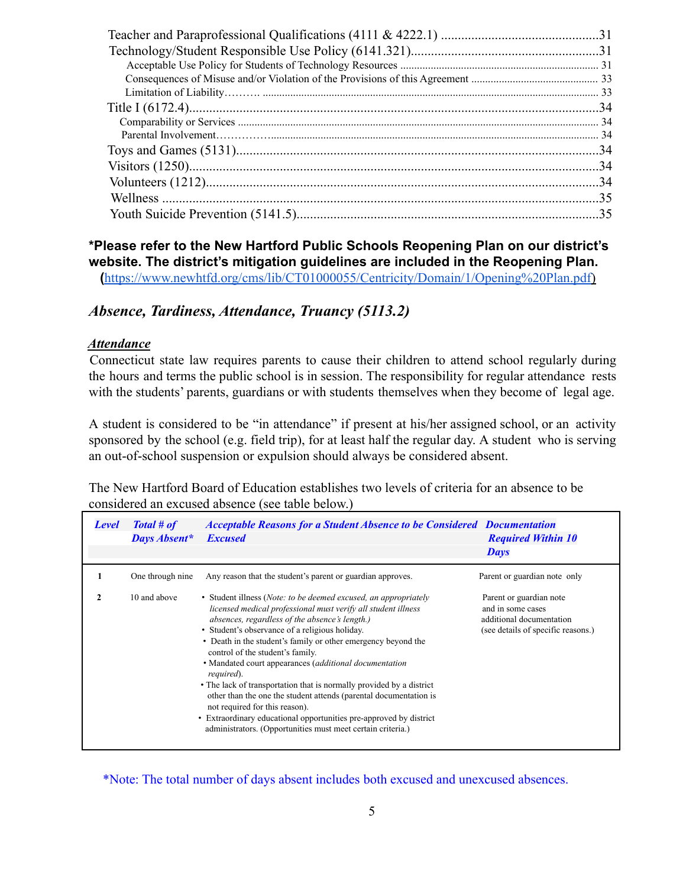# **\*Please refer to the New Hartford Public Schools Reopening Plan on our district's website. The district's mitigation guidelines are included in the Reopening Plan.**

**(**[https://www.newhtfd.org/cms/lib/CT01000055/Centricity/Domain/1/Opening%20Plan.pdf\)](https://www.newhtfd.org/cms/lib/CT01000055/Centricity/Domain/1/Opening%20Plan.pdf)

# *Absence, Tardiness, Attendance, Truancy (5113.2)*

#### *Attendance*

Connecticut state law requires parents to cause their children to attend school regularly during the hours and terms the public school is in session. The responsibility for regular attendance rests with the students' parents, guardians or with students themselves when they become of legal age.

A student is considered to be "in attendance" if present at his/her assigned school, or an activity sponsored by the school (e.g. field trip), for at least half the regular day. A student who is serving an out-of-school suspension or expulsion should always be considered absent.

The New Hartford Board of Education establishes two levels of criteria for an absence to be considered an excused absence (see table below.)

| Level | Total # of<br><b>Days Absent*</b> | <b>Acceptable Reasons for a Student Absence to be Considered Documentation</b><br><b>Excused</b>                                                                                                                                                                                                                                                                                                                                                                                                                                                                                                                                                                                                                                              | <b>Required Within 10</b><br>Days                                                                              |
|-------|-----------------------------------|-----------------------------------------------------------------------------------------------------------------------------------------------------------------------------------------------------------------------------------------------------------------------------------------------------------------------------------------------------------------------------------------------------------------------------------------------------------------------------------------------------------------------------------------------------------------------------------------------------------------------------------------------------------------------------------------------------------------------------------------------|----------------------------------------------------------------------------------------------------------------|
|       | One through nine                  | Any reason that the student's parent or guardian approves.                                                                                                                                                                                                                                                                                                                                                                                                                                                                                                                                                                                                                                                                                    | Parent or guardian note only                                                                                   |
|       | 10 and above                      | • Student illness ( <i>Note: to be deemed excused, an appropriately</i><br>licensed medical professional must verify all student illness<br>absences, regardless of the absence's length.)<br>• Student's observance of a religious holiday.<br>• Death in the student's family or other emergency beyond the<br>control of the student's family.<br>• Mandated court appearances (additional documentation<br>required).<br>• The lack of transportation that is normally provided by a district<br>other than the one the student attends (parental documentation is<br>not required for this reason).<br>• Extraordinary educational opportunities pre-approved by district<br>administrators. (Opportunities must meet certain criteria.) | Parent or guardian note<br>and in some cases<br>additional documentation<br>(see details of specific reasons.) |

\*Note: The total number of days absent includes both excused and unexcused absences.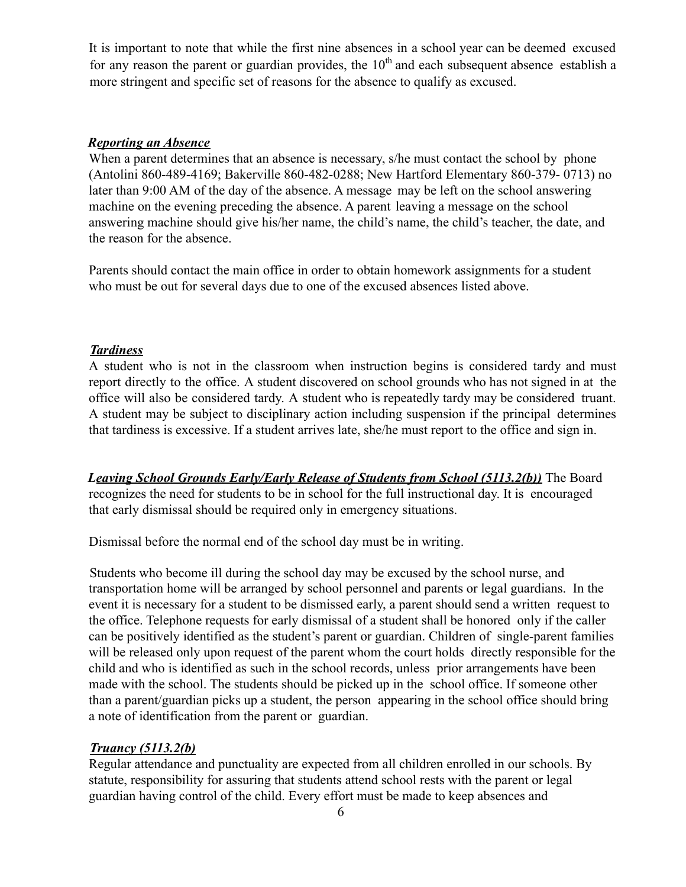It is important to note that while the first nine absences in a school year can be deemed excused for any reason the parent or guardian provides, the  $10<sup>th</sup>$  and each subsequent absence establish a more stringent and specific set of reasons for the absence to qualify as excused.

#### *Reporting an Absence*

When a parent determines that an absence is necessary, s/he must contact the school by phone (Antolini 860-489-4169; Bakerville 860-482-0288; New Hartford Elementary 860-379- 0713) no later than 9:00 AM of the day of the absence. A message may be left on the school answering machine on the evening preceding the absence. A parent leaving a message on the school answering machine should give his/her name, the child's name, the child's teacher, the date, and the reason for the absence.

Parents should contact the main office in order to obtain homework assignments for a student who must be out for several days due to one of the excused absences listed above.

#### *Tardiness*

A student who is not in the classroom when instruction begins is considered tardy and must report directly to the office. A student discovered on school grounds who has not signed in at the office will also be considered tardy. A student who is repeatedly tardy may be considered truant. A student may be subject to disciplinary action including suspension if the principal determines that tardiness is excessive. If a student arrives late, she/he must report to the office and sign in.

*Leaving School Grounds Early/Early Release of Students from School (5113.2(b))* The Board recognizes the need for students to be in school for the full instructional day. It is encouraged that early dismissal should be required only in emergency situations.

Dismissal before the normal end of the school day must be in writing.

Students who become ill during the school day may be excused by the school nurse, and transportation home will be arranged by school personnel and parents or legal guardians. In the event it is necessary for a student to be dismissed early, a parent should send a written request to the office. Telephone requests for early dismissal of a student shall be honored only if the caller can be positively identified as the student's parent or guardian. Children of single-parent families will be released only upon request of the parent whom the court holds directly responsible for the child and who is identified as such in the school records, unless prior arrangements have been made with the school. The students should be picked up in the school office. If someone other than a parent/guardian picks up a student, the person appearing in the school office should bring a note of identification from the parent or guardian.

#### *Truancy (5113.2(b)*

Regular attendance and punctuality are expected from all children enrolled in our schools. By statute, responsibility for assuring that students attend school rests with the parent or legal guardian having control of the child. Every effort must be made to keep absences and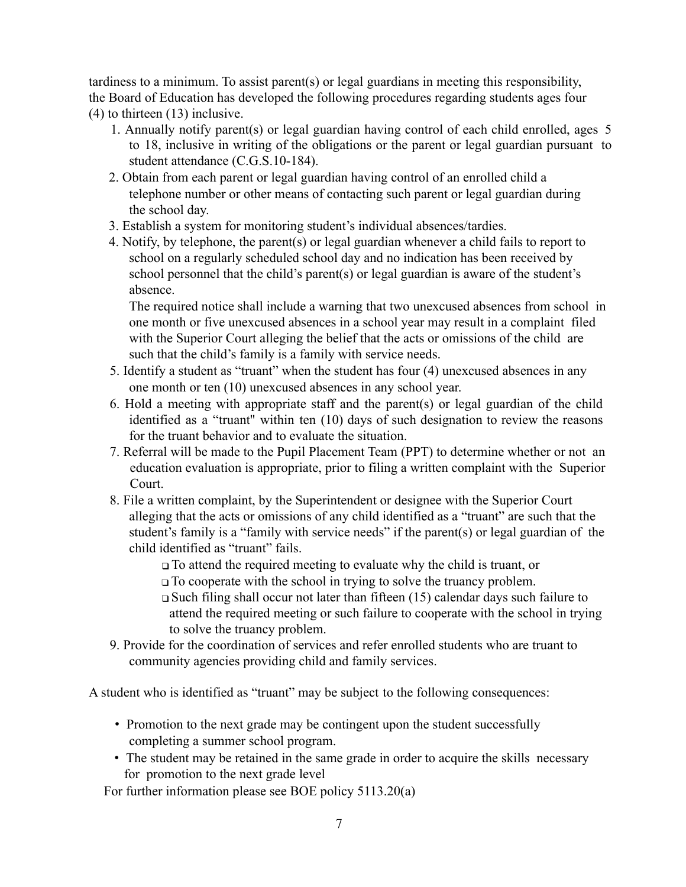tardiness to a minimum. To assist parent(s) or legal guardians in meeting this responsibility, the Board of Education has developed the following procedures regarding students ages four (4) to thirteen (13) inclusive.

- 1. Annually notify parent(s) or legal guardian having control of each child enrolled, ages 5 to 18, inclusive in writing of the obligations or the parent or legal guardian pursuant to student attendance (C.G.S.10-184).
- 2. Obtain from each parent or legal guardian having control of an enrolled child a telephone number or other means of contacting such parent or legal guardian during the school day.
- 3. Establish a system for monitoring student's individual absences/tardies.
- 4. Notify, by telephone, the parent(s) or legal guardian whenever a child fails to report to school on a regularly scheduled school day and no indication has been received by school personnel that the child's parent(s) or legal guardian is aware of the student's absence.

The required notice shall include a warning that two unexcused absences from school in one month or five unexcused absences in a school year may result in a complaint filed with the Superior Court alleging the belief that the acts or omissions of the child are such that the child's family is a family with service needs.

- 5. Identify a student as "truant" when the student has four (4) unexcused absences in any one month or ten (10) unexcused absences in any school year.
- 6. Hold a meeting with appropriate staff and the parent(s) or legal guardian of the child identified as a "truant'' within ten (10) days of such designation to review the reasons for the truant behavior and to evaluate the situation.
- 7. Referral will be made to the Pupil Placement Team (PPT) to determine whether or not an education evaluation is appropriate, prior to filing a written complaint with the Superior Court.
- 8. File a written complaint, by the Superintendent or designee with the Superior Court alleging that the acts or omissions of any child identified as a "truant" are such that the student's family is a "family with service needs" if the parent(s) or legal guardian of the child identified as "truant" fails.

❑ To attend the required meeting to evaluate why the child is truant, or ❑ To cooperate with the school in trying to solve the truancy problem.

- ❑ Such filing shall occur not later than fifteen (15) calendar days such failure to attend the required meeting or such failure to cooperate with the school in trying to solve the truancy problem.
- 9. Provide for the coordination of services and refer enrolled students who are truant to community agencies providing child and family services.

A student who is identified as "truant" may be subject to the following consequences:

- Promotion to the next grade may be contingent upon the student successfully completing a summer school program.
- The student may be retained in the same grade in order to acquire the skills necessary for promotion to the next grade level

For further information please see BOE policy 5113.20(a)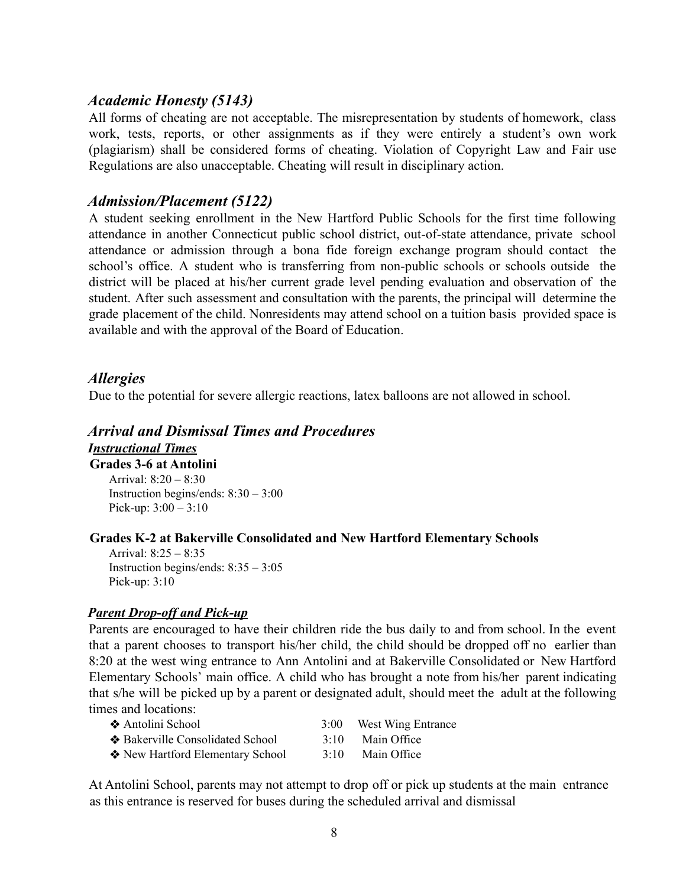## *Academic Honesty (5143)*

All forms of cheating are not acceptable. The misrepresentation by students of homework, class work, tests, reports, or other assignments as if they were entirely a student's own work (plagiarism) shall be considered forms of cheating. Violation of Copyright Law and Fair use Regulations are also unacceptable. Cheating will result in disciplinary action.

## *Admission/Placement (5122)*

A student seeking enrollment in the New Hartford Public Schools for the first time following attendance in another Connecticut public school district, out-of-state attendance, private school attendance or admission through a bona fide foreign exchange program should contact the school's office. A student who is transferring from non-public schools or schools outside the district will be placed at his/her current grade level pending evaluation and observation of the student. After such assessment and consultation with the parents, the principal will determine the grade placement of the child. Nonresidents may attend school on a tuition basis provided space is available and with the approval of the Board of Education.

## *Allergies*

Due to the potential for severe allergic reactions, latex balloons are not allowed in school.

# *Arrival and Dismissal Times and Procedures*

*Instructional Times*

**Grades 3-6 at Antolini** Arrival: 8:20 – 8:30 Instruction begins/ends: 8:30 – 3:00 Pick-up:  $3:00 - 3:10$ 

#### **Grades K-2 at Bakerville Consolidated and New Hartford Elementary Schools**

Arrival: 8:25 – 8:35 Instruction begins/ends: 8:35 – 3:05 Pick-up: 3:10

#### *Parent Drop-off and Pick-up*

Parents are encouraged to have their children ride the bus daily to and from school. In the event that a parent chooses to transport his/her child, the child should be dropped off no earlier than 8:20 at the west wing entrance to Ann Antolini and at Bakerville Consolidated or New Hartford Elementary Schools' main office. A child who has brought a note from his/her parent indicating that s/he will be picked up by a parent or designated adult, should meet the adult at the following times and locations:

| ❖ Antolini School                | 3:00 | West Wing Entrance |
|----------------------------------|------|--------------------|
| ❖ Bakerville Consolidated School | 3.10 | Main Office        |
| ❖ New Hartford Elementary School | 3:10 | Main Office        |

At Antolini School, parents may not attempt to drop off or pick up students at the main entrance as this entrance is reserved for buses during the scheduled arrival and dismissal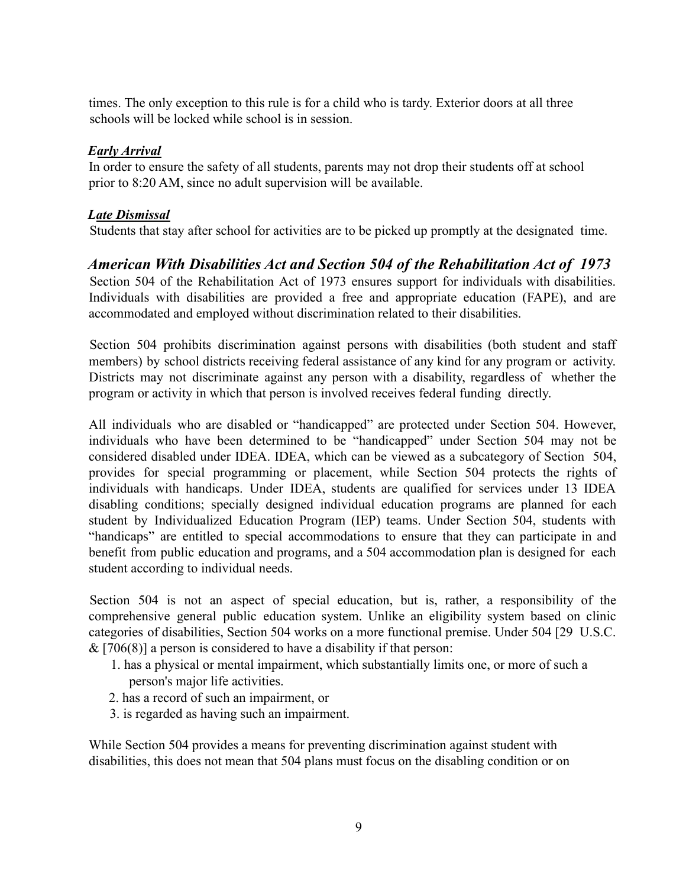times. The only exception to this rule is for a child who is tardy. Exterior doors at all three schools will be locked while school is in session.

#### *Early Arrival*

In order to ensure the safety of all students, parents may not drop their students off at school prior to 8:20 AM, since no adult supervision will be available.

## *Late Dismissal*

Students that stay after school for activities are to be picked up promptly at the designated time.

# *American With Disabilities Act and Section 504 of the Rehabilitation Act of 1973*

Section 504 of the Rehabilitation Act of 1973 ensures support for individuals with disabilities. Individuals with disabilities are provided a free and appropriate education (FAPE), and are accommodated and employed without discrimination related to their disabilities.

Section 504 prohibits discrimination against persons with disabilities (both student and staff members) by school districts receiving federal assistance of any kind for any program or activity. Districts may not discriminate against any person with a disability, regardless of whether the program or activity in which that person is involved receives federal funding directly.

All individuals who are disabled or "handicapped" are protected under Section 504. However, individuals who have been determined to be "handicapped" under Section 504 may not be considered disabled under IDEA. IDEA, which can be viewed as a subcategory of Section 504, provides for special programming or placement, while Section 504 protects the rights of individuals with handicaps. Under IDEA, students are qualified for services under 13 IDEA disabling conditions; specially designed individual education programs are planned for each student by Individualized Education Program (IEP) teams. Under Section 504, students with "handicaps" are entitled to special accommodations to ensure that they can participate in and benefit from public education and programs, and a 504 accommodation plan is designed for each student according to individual needs.

Section 504 is not an aspect of special education, but is, rather, a responsibility of the comprehensive general public education system. Unlike an eligibility system based on clinic categories of disabilities, Section 504 works on a more functional premise. Under 504 [29 U.S.C.  $& [706(8)]$  a person is considered to have a disability if that person:

- 1. has a physical or mental impairment, which substantially limits one, or more of such a person's major life activities.
- 2. has a record of such an impairment, or
- 3. is regarded as having such an impairment.

While Section 504 provides a means for preventing discrimination against student with disabilities, this does not mean that 504 plans must focus on the disabling condition or on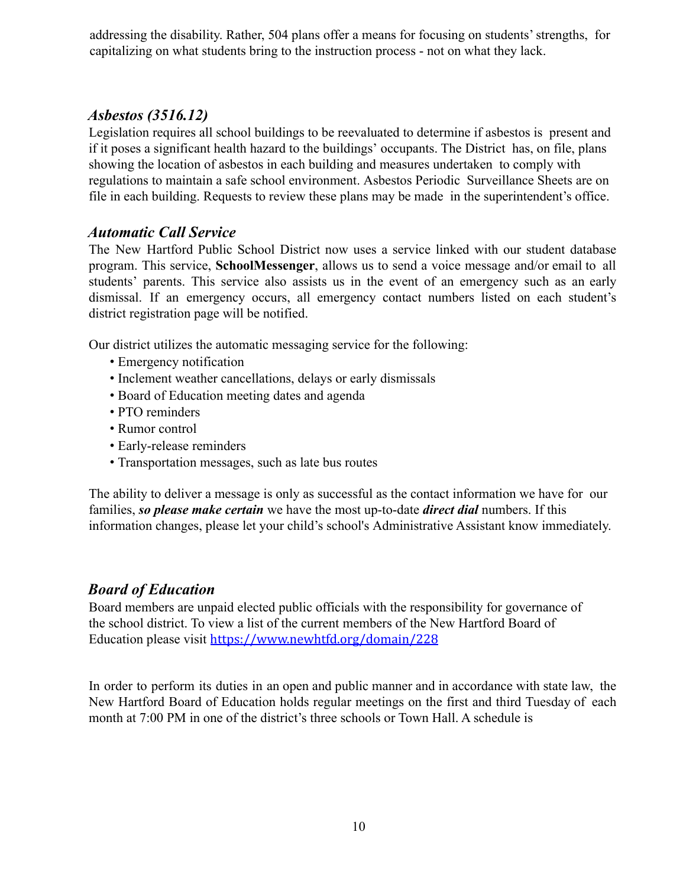addressing the disability. Rather, 504 plans offer a means for focusing on students' strengths, for capitalizing on what students bring to the instruction process - not on what they lack.

# *Asbestos (3516.12)*

Legislation requires all school buildings to be reevaluated to determine if asbestos is present and if it poses a significant health hazard to the buildings' occupants. The District has, on file, plans showing the location of asbestos in each building and measures undertaken to comply with regulations to maintain a safe school environment. Asbestos Periodic Surveillance Sheets are on file in each building. Requests to review these plans may be made in the superintendent's office.

# *Automatic Call Service*

The New Hartford Public School District now uses a service linked with our student database program. This service, **SchoolMessenger**, allows us to send a voice message and/or email to all students' parents. This service also assists us in the event of an emergency such as an early dismissal. If an emergency occurs, all emergency contact numbers listed on each student's district registration page will be notified.

Our district utilizes the automatic messaging service for the following:

- Emergency notification
- Inclement weather cancellations, delays or early dismissals
- Board of Education meeting dates and agenda
- PTO reminders
- Rumor control
- Early-release reminders
- Transportation messages, such as late bus routes

The ability to deliver a message is only as successful as the contact information we have for our families, *so please make certain* we have the most up-to-date *direct dial* numbers. If this information changes, please let your child's school's Administrative Assistant know immediately.

# *Board of Education*

Board members are unpaid elected public officials with the responsibility for governance of the school district. To view a list of the current members of the New Hartford Board of Education please visit https://www.newhtfd.org/domain/228

In order to perform its duties in an open and public manner and in accordance with state law, the New Hartford Board of Education holds regular meetings on the first and third Tuesday of each month at 7:00 PM in one of the district's three schools or Town Hall. A schedule is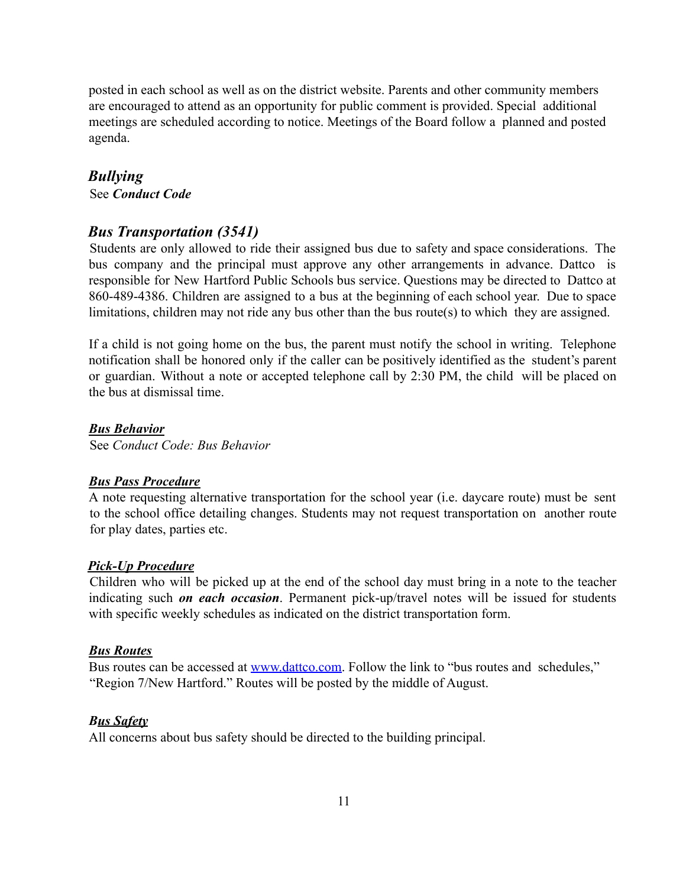posted in each school as well as on the district website. Parents and other community members are encouraged to attend as an opportunity for public comment is provided. Special additional meetings are scheduled according to notice. Meetings of the Board follow a planned and posted agenda.

#### *Bullying*

See *Conduct Code*

#### *Bus Transportation (3541)*

Students are only allowed to ride their assigned bus due to safety and space considerations. The bus company and the principal must approve any other arrangements in advance. Dattco is responsible for New Hartford Public Schools bus service. Questions may be directed to Dattco at 860-489-4386. Children are assigned to a bus at the beginning of each school year. Due to space limitations, children may not ride any bus other than the bus route(s) to which they are assigned.

If a child is not going home on the bus, the parent must notify the school in writing. Telephone notification shall be honored only if the caller can be positively identified as the student's parent or guardian. Without a note or accepted telephone call by 2:30 PM, the child will be placed on the bus at dismissal time.

#### *Bus Behavior*

See *Conduct Code: Bus Behavior*

#### *Bus Pass Procedure*

A note requesting alternative transportation for the school year (i.e. daycare route) must be sent to the school office detailing changes. Students may not request transportation on another route for play dates, parties etc.

#### *Pick-Up Procedure*

Children who will be picked up at the end of the school day must bring in a note to the teacher indicating such *on each occasion*. Permanent pick-up/travel notes will be issued for students with specific weekly schedules as indicated on the district transportation form.

#### *Bus Routes*

Bus routes can be accessed at www.dattco.com. Follow the link to "bus routes and schedules," "Region 7/New Hartford." Routes will be posted by the middle of August.

#### *Bus Safety*

All concerns about bus safety should be directed to the building principal.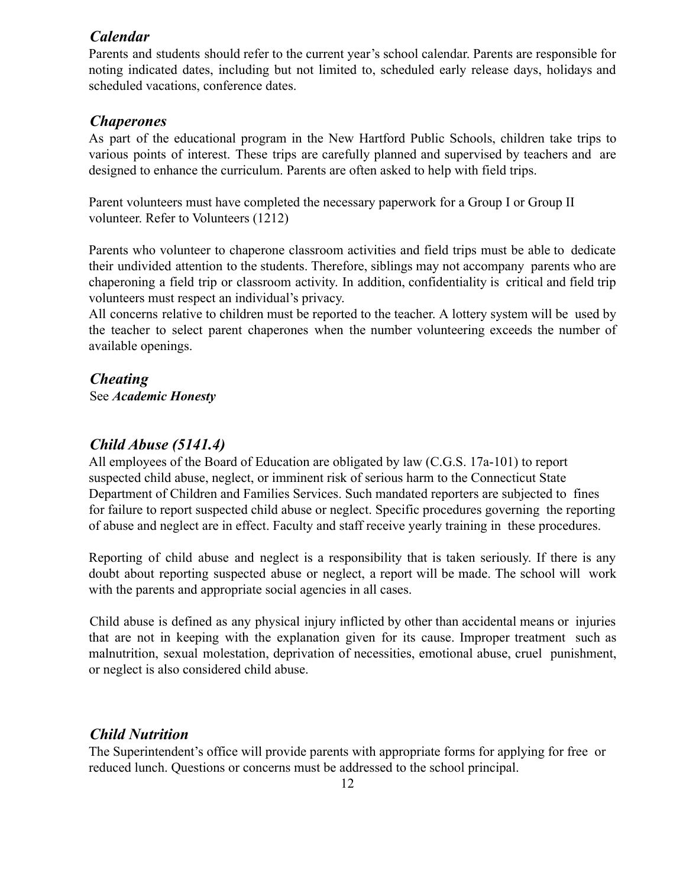#### *Calendar*

Parents and students should refer to the current year's school calendar. Parents are responsible for noting indicated dates, including but not limited to, scheduled early release days, holidays and scheduled vacations, conference dates.

#### *Chaperones*

As part of the educational program in the New Hartford Public Schools, children take trips to various points of interest. These trips are carefully planned and supervised by teachers and are designed to enhance the curriculum. Parents are often asked to help with field trips.

Parent volunteers must have completed the necessary paperwork for a Group I or Group II volunteer. Refer to Volunteers (1212)

Parents who volunteer to chaperone classroom activities and field trips must be able to dedicate their undivided attention to the students. Therefore, siblings may not accompany parents who are chaperoning a field trip or classroom activity. In addition, confidentiality is critical and field trip volunteers must respect an individual's privacy.

All concerns relative to children must be reported to the teacher. A lottery system will be used by the teacher to select parent chaperones when the number volunteering exceeds the number of available openings.

#### *Cheating*

See *Academic Honesty*

#### *Child Abuse (5141.4)*

All employees of the Board of Education are obligated by law (C.G.S. 17a-101) to report suspected child abuse, neglect, or imminent risk of serious harm to the Connecticut State Department of Children and Families Services. Such mandated reporters are subjected to fines for failure to report suspected child abuse or neglect. Specific procedures governing the reporting of abuse and neglect are in effect. Faculty and staff receive yearly training in these procedures.

Reporting of child abuse and neglect is a responsibility that is taken seriously. If there is any doubt about reporting suspected abuse or neglect, a report will be made. The school will work with the parents and appropriate social agencies in all cases.

Child abuse is defined as any physical injury inflicted by other than accidental means or injuries that are not in keeping with the explanation given for its cause. Improper treatment such as malnutrition, sexual molestation, deprivation of necessities, emotional abuse, cruel punishment, or neglect is also considered child abuse.

# *Child Nutrition*

The Superintendent's office will provide parents with appropriate forms for applying for free or reduced lunch. Questions or concerns must be addressed to the school principal.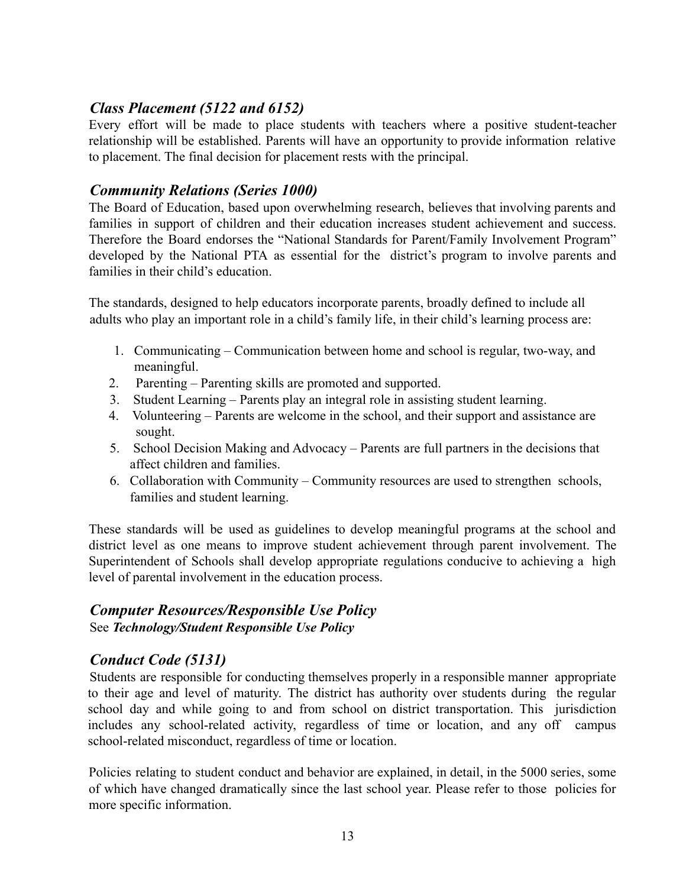# *Class Placement (5122 and 6152)*

Every effort will be made to place students with teachers where a positive student-teacher relationship will be established. Parents will have an opportunity to provide information relative to placement. The final decision for placement rests with the principal.

# *Community Relations (Series 1000)*

The Board of Education, based upon overwhelming research, believes that involving parents and families in support of children and their education increases student achievement and success. Therefore the Board endorses the "National Standards for Parent/Family Involvement Program" developed by the National PTA as essential for the district's program to involve parents and families in their child's education.

The standards, designed to help educators incorporate parents, broadly defined to include all adults who play an important role in a child's family life, in their child's learning process are:

- 1. Communicating Communication between home and school is regular, two-way, and meaningful.
- 2. Parenting Parenting skills are promoted and supported.
- 3. Student Learning Parents play an integral role in assisting student learning.
- 4. Volunteering Parents are welcome in the school, and their support and assistance are sought.
- 5. School Decision Making and Advocacy Parents are full partners in the decisions that affect children and families.
- 6. Collaboration with Community Community resources are used to strengthen schools, families and student learning.

These standards will be used as guidelines to develop meaningful programs at the school and district level as one means to improve student achievement through parent involvement. The Superintendent of Schools shall develop appropriate regulations conducive to achieving a high level of parental involvement in the education process.

# *Computer Resources/Responsible Use Policy* See *Technology/Student Responsible Use Policy*

# *Conduct Code (5131)*

Students are responsible for conducting themselves properly in a responsible manner appropriate to their age and level of maturity. The district has authority over students during the regular school day and while going to and from school on district transportation. This jurisdiction includes any school-related activity, regardless of time or location, and any off campus school-related misconduct, regardless of time or location.

Policies relating to student conduct and behavior are explained, in detail, in the 5000 series, some of which have changed dramatically since the last school year. Please refer to those policies for more specific information.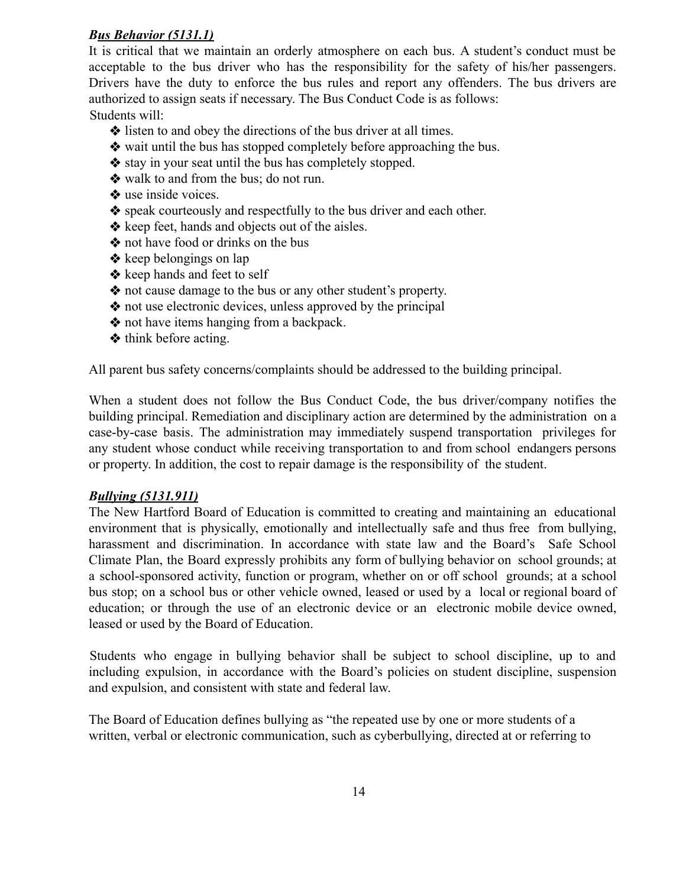#### *Bus Behavior (5131.1)*

It is critical that we maintain an orderly atmosphere on each bus. A student's conduct must be acceptable to the bus driver who has the responsibility for the safety of his/her passengers. Drivers have the duty to enforce the bus rules and report any offenders. The bus drivers are authorized to assign seats if necessary. The Bus Conduct Code is as follows: Students will:

- ❖ listen to and obey the directions of the bus driver at all times.
- ❖ wait until the bus has stopped completely before approaching the bus.
- ❖ stay in your seat until the bus has completely stopped.
- ❖ walk to and from the bus; do not run.
- ❖ use inside voices.
- ❖ speak courteously and respectfully to the bus driver and each other.
- ❖ keep feet, hands and objects out of the aisles.
- ❖ not have food or drinks on the bus
- ❖ keep belongings on lap
- ❖ keep hands and feet to self
- ❖ not cause damage to the bus or any other student's property.
- ❖ not use electronic devices, unless approved by the principal
- ❖ not have items hanging from a backpack.
- ❖ think before acting.

All parent bus safety concerns/complaints should be addressed to the building principal.

When a student does not follow the Bus Conduct Code, the bus driver/company notifies the building principal. Remediation and disciplinary action are determined by the administration on a case-by-case basis. The administration may immediately suspend transportation privileges for any student whose conduct while receiving transportation to and from school endangers persons or property. In addition, the cost to repair damage is the responsibility of the student.

#### *Bullying (5131.911)*

The New Hartford Board of Education is committed to creating and maintaining an educational environment that is physically, emotionally and intellectually safe and thus free from bullying, harassment and discrimination. In accordance with state law and the Board's Safe School Climate Plan, the Board expressly prohibits any form of bullying behavior on school grounds; at a school-sponsored activity, function or program, whether on or off school grounds; at a school bus stop; on a school bus or other vehicle owned, leased or used by a local or regional board of education; or through the use of an electronic device or an electronic mobile device owned, leased or used by the Board of Education.

Students who engage in bullying behavior shall be subject to school discipline, up to and including expulsion, in accordance with the Board's policies on student discipline, suspension and expulsion, and consistent with state and federal law.

The Board of Education defines bullying as "the repeated use by one or more students of a written, verbal or electronic communication, such as cyberbullying, directed at or referring to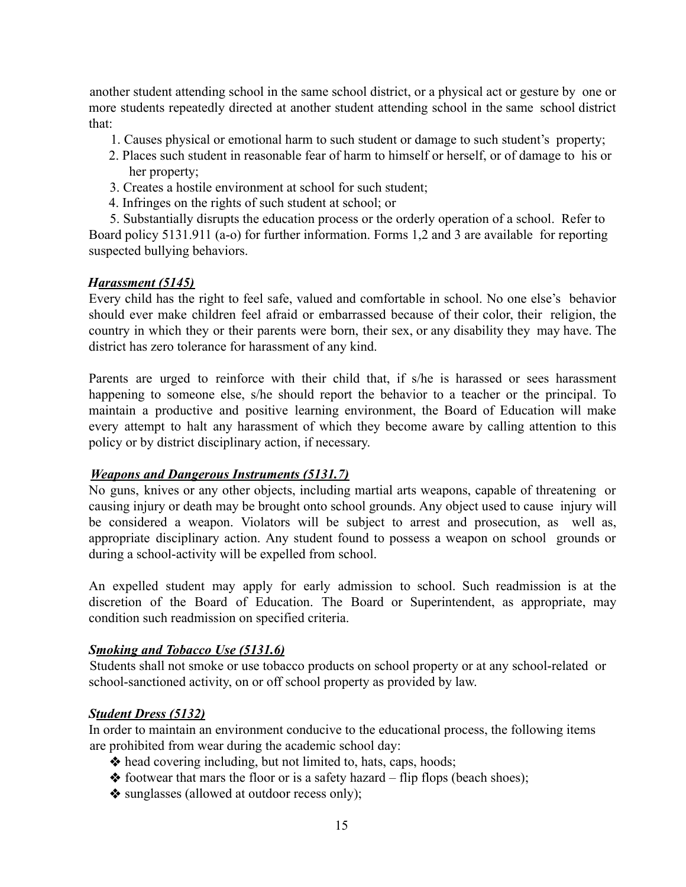another student attending school in the same school district, or a physical act or gesture by one or more students repeatedly directed at another student attending school in the same school district that:

- 1. Causes physical or emotional harm to such student or damage to such student's property;
- 2. Places such student in reasonable fear of harm to himself or herself, or of damage to his or her property;
- 3. Creates a hostile environment at school for such student;
- 4. Infringes on the rights of such student at school; or

5. Substantially disrupts the education process or the orderly operation of a school. Refer to Board policy 5131.911 (a-o) for further information. Forms 1,2 and 3 are available for reporting suspected bullying behaviors.

#### *Harassment (5145)*

Every child has the right to feel safe, valued and comfortable in school. No one else's behavior should ever make children feel afraid or embarrassed because of their color, their religion, the country in which they or their parents were born, their sex, or any disability they may have. The district has zero tolerance for harassment of any kind.

Parents are urged to reinforce with their child that, if s/he is harassed or sees harassment happening to someone else, s/he should report the behavior to a teacher or the principal. To maintain a productive and positive learning environment, the Board of Education will make every attempt to halt any harassment of which they become aware by calling attention to this policy or by district disciplinary action, if necessary.

#### *Weapons and Dangerous Instruments (5131.7)*

No guns, knives or any other objects, including martial arts weapons, capable of threatening or causing injury or death may be brought onto school grounds. Any object used to cause injury will be considered a weapon. Violators will be subject to arrest and prosecution, as well as, appropriate disciplinary action. Any student found to possess a weapon on school grounds or during a school-activity will be expelled from school.

An expelled student may apply for early admission to school. Such readmission is at the discretion of the Board of Education. The Board or Superintendent, as appropriate, may condition such readmission on specified criteria.

#### *Smoking and Tobacco Use (5131.6)*

Students shall not smoke or use tobacco products on school property or at any school-related or school-sanctioned activity, on or off school property as provided by law.

#### *Student Dress (5132)*

In order to maintain an environment conducive to the educational process, the following items are prohibited from wear during the academic school day:

- ❖ head covering including, but not limited to, hats, caps, hoods;
- $\triangleleft$  footwear that mars the floor or is a safety hazard flip flops (beach shoes);
- ❖ sunglasses (allowed at outdoor recess only);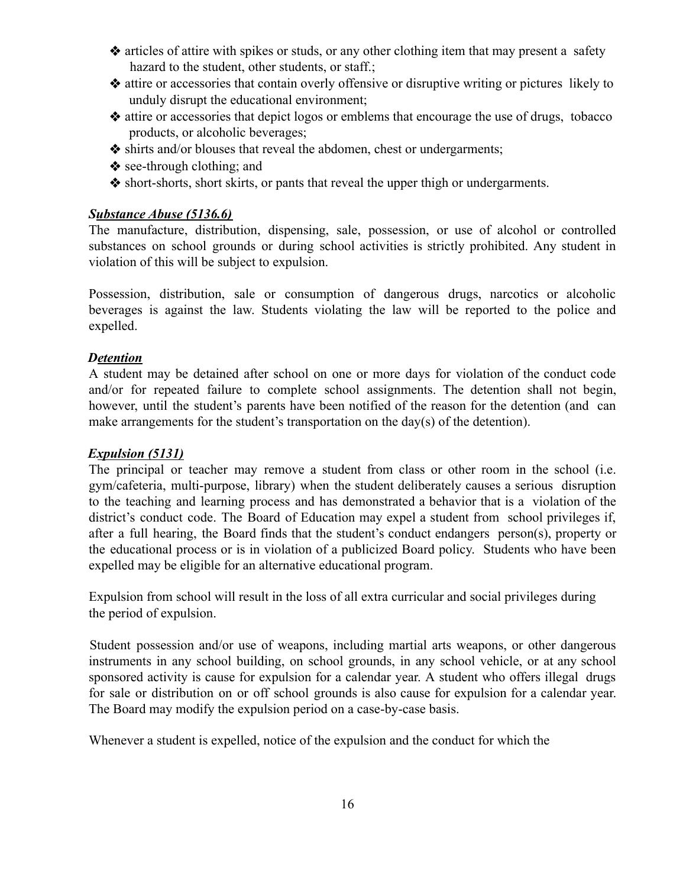- ❖ articles of attire with spikes or studs, or any other clothing item that may present a safety hazard to the student, other students, or staff.;
- ❖ attire or accessories that contain overly offensive or disruptive writing or pictures likely to unduly disrupt the educational environment;
- ❖ attire or accessories that depict logos or emblems that encourage the use of drugs, tobacco products, or alcoholic beverages;
- ❖ shirts and/or blouses that reveal the abdomen, chest or undergarments;
- ❖ see-through clothing; and
- ❖ short-shorts, short skirts, or pants that reveal the upper thigh or undergarments.

#### *Substance Abuse (5136.6)*

The manufacture, distribution, dispensing, sale, possession, or use of alcohol or controlled substances on school grounds or during school activities is strictly prohibited. Any student in violation of this will be subject to expulsion.

Possession, distribution, sale or consumption of dangerous drugs, narcotics or alcoholic beverages is against the law. Students violating the law will be reported to the police and expelled.

#### *Detention*

A student may be detained after school on one or more days for violation of the conduct code and/or for repeated failure to complete school assignments. The detention shall not begin, however, until the student's parents have been notified of the reason for the detention (and can make arrangements for the student's transportation on the day(s) of the detention).

#### *Expulsion (5131)*

The principal or teacher may remove a student from class or other room in the school (i.e. gym/cafeteria, multi-purpose, library) when the student deliberately causes a serious disruption to the teaching and learning process and has demonstrated a behavior that is a violation of the district's conduct code. The Board of Education may expel a student from school privileges if, after a full hearing, the Board finds that the student's conduct endangers person(s), property or the educational process or is in violation of a publicized Board policy. Students who have been expelled may be eligible for an alternative educational program.

Expulsion from school will result in the loss of all extra curricular and social privileges during the period of expulsion.

Student possession and/or use of weapons, including martial arts weapons, or other dangerous instruments in any school building, on school grounds, in any school vehicle, or at any school sponsored activity is cause for expulsion for a calendar year. A student who offers illegal drugs for sale or distribution on or off school grounds is also cause for expulsion for a calendar year. The Board may modify the expulsion period on a case-by-case basis.

Whenever a student is expelled, notice of the expulsion and the conduct for which the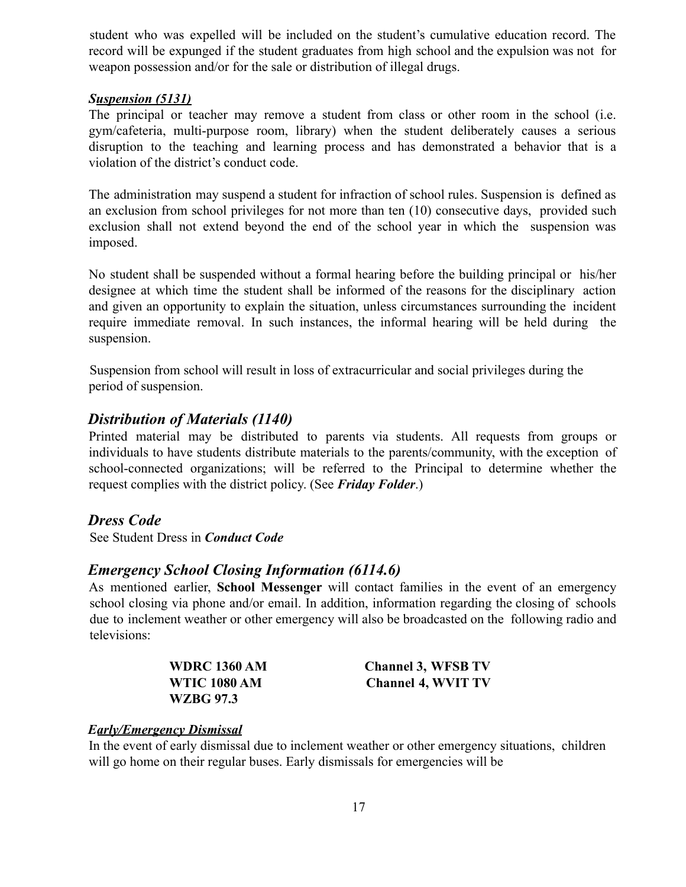student who was expelled will be included on the student's cumulative education record. The record will be expunged if the student graduates from high school and the expulsion was not for weapon possession and/or for the sale or distribution of illegal drugs.

#### *Suspension (5131)*

The principal or teacher may remove a student from class or other room in the school (i.e. gym/cafeteria, multi-purpose room, library) when the student deliberately causes a serious disruption to the teaching and learning process and has demonstrated a behavior that is a violation of the district's conduct code.

The administration may suspend a student for infraction of school rules. Suspension is defined as an exclusion from school privileges for not more than ten (10) consecutive days, provided such exclusion shall not extend beyond the end of the school year in which the suspension was imposed.

No student shall be suspended without a formal hearing before the building principal or his/her designee at which time the student shall be informed of the reasons for the disciplinary action and given an opportunity to explain the situation, unless circumstances surrounding the incident require immediate removal. In such instances, the informal hearing will be held during the suspension.

Suspension from school will result in loss of extracurricular and social privileges during the period of suspension.

## *Distribution of Materials (1140)*

Printed material may be distributed to parents via students. All requests from groups or individuals to have students distribute materials to the parents/community, with the exception of school-connected organizations; will be referred to the Principal to determine whether the request complies with the district policy. (See *Friday Folder*.)

#### *Dress Code*

See Student Dress in *Conduct Code*

# *Emergency School Closing Information (6114.6)*

As mentioned earlier, **School Messenger** will contact families in the event of an emergency school closing via phone and/or email. In addition, information regarding the closing of schools due to inclement weather or other emergency will also be broadcasted on the following radio and televisions:

| <b>WDRC 1360 AM</b> |  |
|---------------------|--|
| <b>WTIC 1080 AM</b> |  |
| WZBG 97.3           |  |

**Channel 3, WFSB TV Channel 4, WVIT TV** 

#### *Early/Emergency Dismissal*

In the event of early dismissal due to inclement weather or other emergency situations, children will go home on their regular buses. Early dismissals for emergencies will be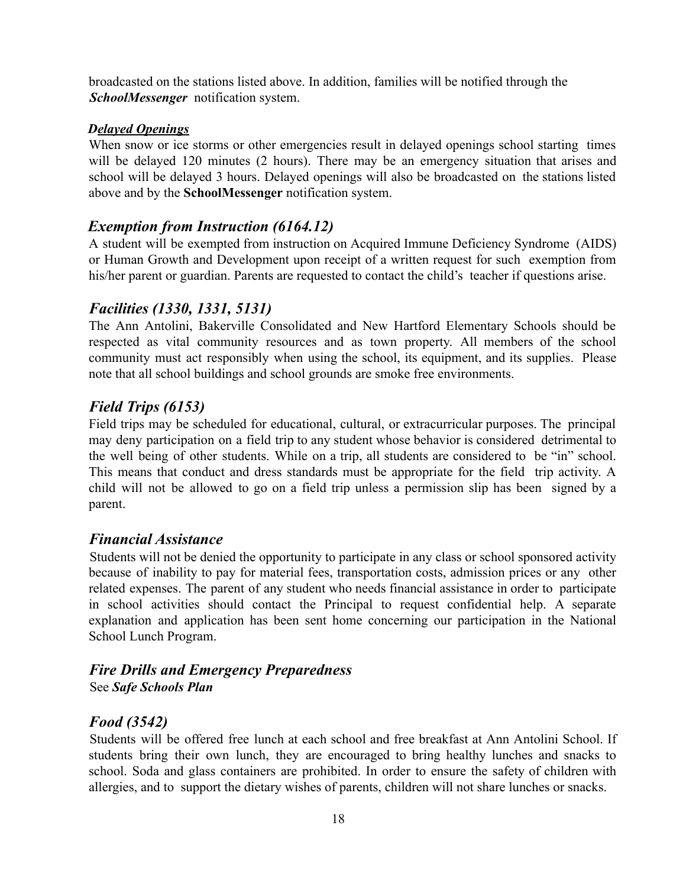broadcasted on the stations listed above. In addition, families will be notified through the *SchoolMessenger* notification system.

#### *Delayed Openings*

When snow or ice storms or other emergencies result in delayed openings school starting times will be delayed 120 minutes (2 hours). There may be an emergency situation that arises and school will be delayed 3 hours. Delayed openings will also be broadcasted on the stations listed above and by the **SchoolMessenger** notification system.

# *Exemption from Instruction (6164.12)*

A student will be exempted from instruction on Acquired Immune Deficiency Syndrome (AIDS) or Human Growth and Development upon receipt of a written request for such exemption from his/her parent or guardian. Parents are requested to contact the child's teacher if questions arise.

# *Facilities (1330, 1331, 5131)*

The Ann Antolini, Bakerville Consolidated and New Hartford Elementary Schools should be respected as vital community resources and as town property. All members of the school community must act responsibly when using the school, its equipment, and its supplies. Please note that all school buildings and school grounds are smoke free environments.

# *Field Trips (6153)*

Field trips may be scheduled for educational, cultural, or extracurricular purposes. The principal may deny participation on a field trip to any student whose behavior is considered detrimental to the well being of other students. While on a trip, all students are considered to be "in" school. This means that conduct and dress standards must be appropriate for the field trip activity. A child will not be allowed to go on a field trip unless a permission slip has been signed by a parent.

# *Financial Assistance*

Students will not be denied the opportunity to participate in any class or school sponsored activity because of inability to pay for material fees, transportation costs, admission prices or any other related expenses. The parent of any student who needs financial assistance in order to participate in school activities should contact the Principal to request confidential help. A separate explanation and application has been sent home concerning our participation in the National School Lunch Program.

## *Fire Drills and Emergency Preparedness* See *Safe Schools Plan*

# *Food (3542)*

Students will be offered free lunch at each school and free breakfast at Ann Antolini School. If students bring their own lunch, they are encouraged to bring healthy lunches and snacks to school. Soda and glass containers are prohibited. In order to ensure the safety of children with allergies, and to support the dietary wishes of parents, children will not share lunches or snacks.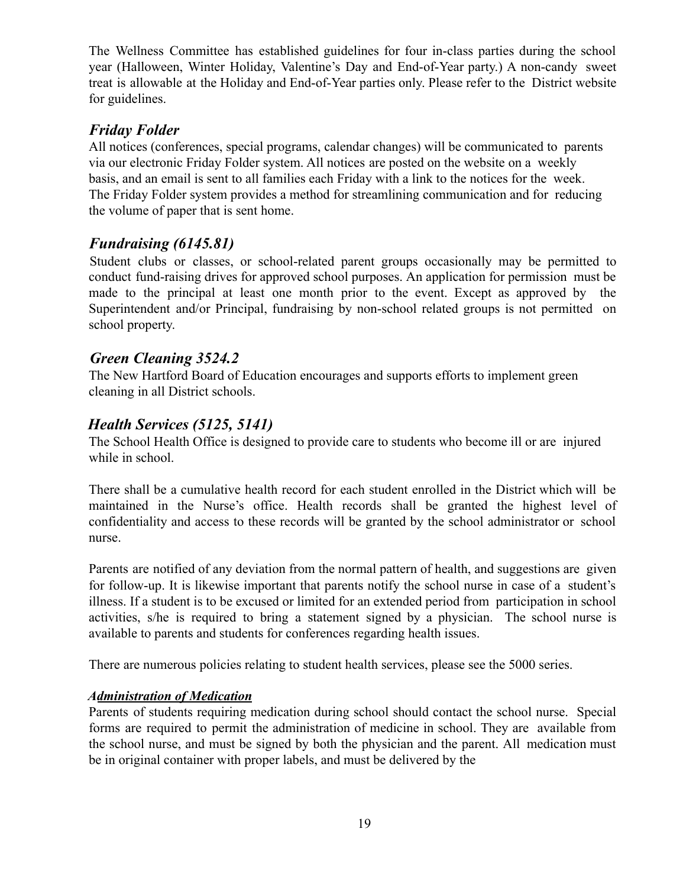The Wellness Committee has established guidelines for four in-class parties during the school year (Halloween, Winter Holiday, Valentine's Day and End-of-Year party.) A non-candy sweet treat is allowable at the Holiday and End-of-Year parties only. Please refer to the District website for guidelines.

# *Friday Folder*

All notices (conferences, special programs, calendar changes) will be communicated to parents via our electronic Friday Folder system. All notices are posted on the website on a weekly basis, and an email is sent to all families each Friday with a link to the notices for the week. The Friday Folder system provides a method for streamlining communication and for reducing the volume of paper that is sent home.

# *Fundraising (6145.81)*

Student clubs or classes, or school-related parent groups occasionally may be permitted to conduct fund-raising drives for approved school purposes. An application for permission must be made to the principal at least one month prior to the event. Except as approved by the Superintendent and/or Principal, fundraising by non-school related groups is not permitted on school property.

# *Green Cleaning 3524.2*

The New Hartford Board of Education encourages and supports efforts to implement green cleaning in all District schools.

# *Health Services (5125, 5141)*

The School Health Office is designed to provide care to students who become ill or are injured while in school.

There shall be a cumulative health record for each student enrolled in the District which will be maintained in the Nurse's office. Health records shall be granted the highest level of confidentiality and access to these records will be granted by the school administrator or school nurse.

Parents are notified of any deviation from the normal pattern of health, and suggestions are given for follow-up. It is likewise important that parents notify the school nurse in case of a student's illness. If a student is to be excused or limited for an extended period from participation in school activities, s/he is required to bring a statement signed by a physician. The school nurse is available to parents and students for conferences regarding health issues.

There are numerous policies relating to student health services, please see the 5000 series.

#### *Administration of Medication*

Parents of students requiring medication during school should contact the school nurse. Special forms are required to permit the administration of medicine in school. They are available from the school nurse, and must be signed by both the physician and the parent. All medication must be in original container with proper labels, and must be delivered by the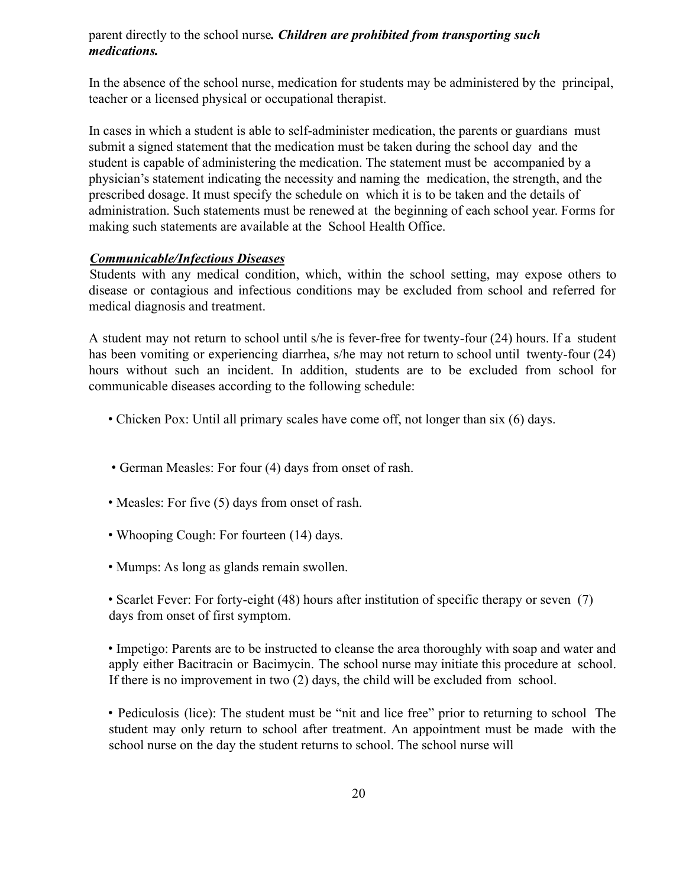#### parent directly to the school nurse*. Children are prohibited from transporting such medications.*

In the absence of the school nurse, medication for students may be administered by the principal, teacher or a licensed physical or occupational therapist.

In cases in which a student is able to self-administer medication, the parents or guardians must submit a signed statement that the medication must be taken during the school day and the student is capable of administering the medication. The statement must be accompanied by a physician's statement indicating the necessity and naming the medication, the strength, and the prescribed dosage. It must specify the schedule on which it is to be taken and the details of administration. Such statements must be renewed at the beginning of each school year. Forms for making such statements are available at the School Health Office.

#### *Communicable/Infectious Diseases*

Students with any medical condition, which, within the school setting, may expose others to disease or contagious and infectious conditions may be excluded from school and referred for medical diagnosis and treatment.

A student may not return to school until s/he is fever-free for twenty-four (24) hours. If a student has been vomiting or experiencing diarrhea, s/he may not return to school until twenty-four (24) hours without such an incident. In addition, students are to be excluded from school for communicable diseases according to the following schedule:

- Chicken Pox: Until all primary scales have come off, not longer than six (6) days.
- German Measles: For four (4) days from onset of rash.
- Measles: For five (5) days from onset of rash.
- Whooping Cough: For fourteen (14) days.
- Mumps: As long as glands remain swollen.

• Scarlet Fever: For forty-eight (48) hours after institution of specific therapy or seven (7) days from onset of first symptom.

• Impetigo: Parents are to be instructed to cleanse the area thoroughly with soap and water and apply either Bacitracin or Bacimycin. The school nurse may initiate this procedure at school. If there is no improvement in two (2) days, the child will be excluded from school.

• Pediculosis (lice): The student must be "nit and lice free" prior to returning to school The student may only return to school after treatment. An appointment must be made with the school nurse on the day the student returns to school. The school nurse will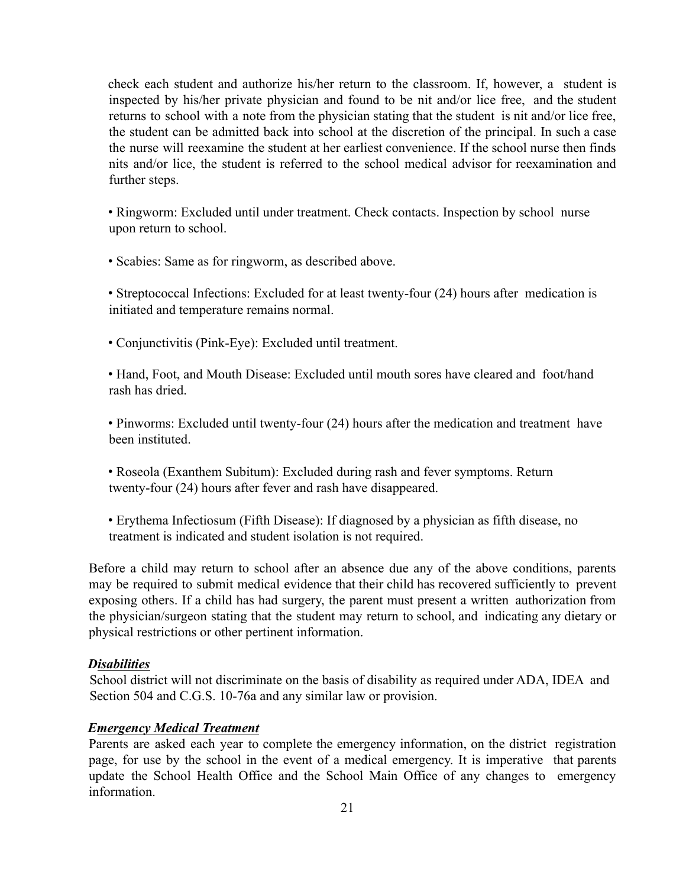check each student and authorize his/her return to the classroom. If, however, a student is inspected by his/her private physician and found to be nit and/or lice free, and the student returns to school with a note from the physician stating that the student is nit and/or lice free, the student can be admitted back into school at the discretion of the principal. In such a case the nurse will reexamine the student at her earliest convenience. If the school nurse then finds nits and/or lice, the student is referred to the school medical advisor for reexamination and further steps.

• Ringworm: Excluded until under treatment. Check contacts. Inspection by school nurse upon return to school.

• Scabies: Same as for ringworm, as described above.

• Streptococcal Infections: Excluded for at least twenty-four (24) hours after medication is initiated and temperature remains normal.

• Conjunctivitis (Pink-Eye): Excluded until treatment.

• Hand, Foot, and Mouth Disease: Excluded until mouth sores have cleared and foot/hand rash has dried.

• Pinworms: Excluded until twenty-four (24) hours after the medication and treatment have been instituted.

• Roseola (Exanthem Subitum): Excluded during rash and fever symptoms. Return twenty-four (24) hours after fever and rash have disappeared.

• Erythema Infectiosum (Fifth Disease): If diagnosed by a physician as fifth disease, no treatment is indicated and student isolation is not required.

Before a child may return to school after an absence due any of the above conditions, parents may be required to submit medical evidence that their child has recovered sufficiently to prevent exposing others. If a child has had surgery, the parent must present a written authorization from the physician/surgeon stating that the student may return to school, and indicating any dietary or physical restrictions or other pertinent information.

#### *Disabilities*

School district will not discriminate on the basis of disability as required under ADA, IDEA and Section 504 and C.G.S. 10-76a and any similar law or provision.

#### *Emergency Medical Treatment*

Parents are asked each year to complete the emergency information, on the district registration page, for use by the school in the event of a medical emergency. It is imperative that parents update the School Health Office and the School Main Office of any changes to emergency information.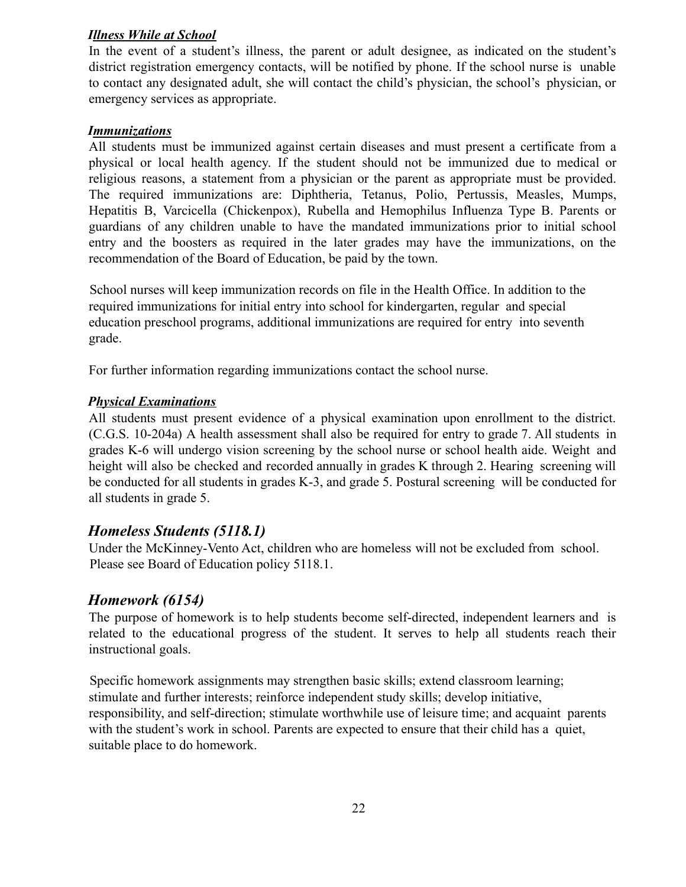#### *Illness While at School*

In the event of a student's illness, the parent or adult designee, as indicated on the student's district registration emergency contacts, will be notified by phone. If the school nurse is unable to contact any designated adult, she will contact the child's physician, the school's physician, or emergency services as appropriate.

#### *Immunizations*

All students must be immunized against certain diseases and must present a certificate from a physical or local health agency. If the student should not be immunized due to medical or religious reasons, a statement from a physician or the parent as appropriate must be provided. The required immunizations are: Diphtheria, Tetanus, Polio, Pertussis, Measles, Mumps, Hepatitis B, Varcicella (Chickenpox), Rubella and Hemophilus Influenza Type B. Parents or guardians of any children unable to have the mandated immunizations prior to initial school entry and the boosters as required in the later grades may have the immunizations, on the recommendation of the Board of Education, be paid by the town.

School nurses will keep immunization records on file in the Health Office. In addition to the required immunizations for initial entry into school for kindergarten, regular and special education preschool programs, additional immunizations are required for entry into seventh grade.

For further information regarding immunizations contact the school nurse.

#### *Physical Examinations*

All students must present evidence of a physical examination upon enrollment to the district. (C.G.S. 10-204a) A health assessment shall also be required for entry to grade 7. All students in grades K-6 will undergo vision screening by the school nurse or school health aide. Weight and height will also be checked and recorded annually in grades K through 2. Hearing screening will be conducted for all students in grades K-3, and grade 5. Postural screening will be conducted for all students in grade 5.

# *Homeless Students (5118.1)*

Under the McKinney-Vento Act, children who are homeless will not be excluded from school. Please see Board of Education policy 5118.1.

#### *Homework (6154)*

The purpose of homework is to help students become self-directed, independent learners and is related to the educational progress of the student. It serves to help all students reach their instructional goals.

Specific homework assignments may strengthen basic skills; extend classroom learning; stimulate and further interests; reinforce independent study skills; develop initiative, responsibility, and self-direction; stimulate worthwhile use of leisure time; and acquaint parents with the student's work in school. Parents are expected to ensure that their child has a quiet, suitable place to do homework.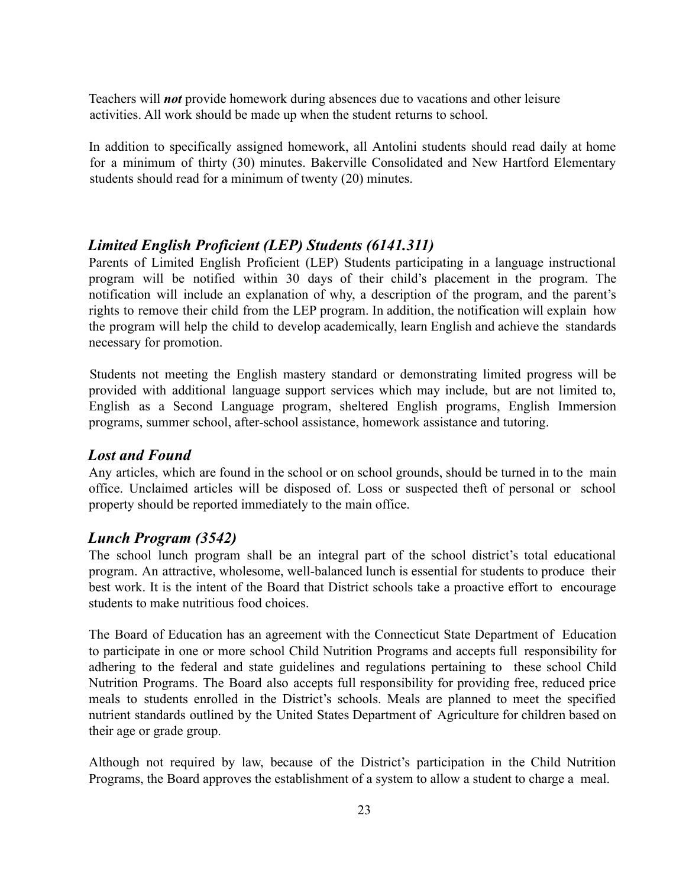Teachers will *not* provide homework during absences due to vacations and other leisure activities. All work should be made up when the student returns to school.

In addition to specifically assigned homework, all Antolini students should read daily at home for a minimum of thirty (30) minutes. Bakerville Consolidated and New Hartford Elementary students should read for a minimum of twenty (20) minutes.

# *Limited English Proficient (LEP) Students (6141.311)*

Parents of Limited English Proficient (LEP) Students participating in a language instructional program will be notified within 30 days of their child's placement in the program. The notification will include an explanation of why, a description of the program, and the parent's rights to remove their child from the LEP program. In addition, the notification will explain how the program will help the child to develop academically, learn English and achieve the standards necessary for promotion.

Students not meeting the English mastery standard or demonstrating limited progress will be provided with additional language support services which may include, but are not limited to, English as a Second Language program, sheltered English programs, English Immersion programs, summer school, after-school assistance, homework assistance and tutoring.

# *Lost and Found*

Any articles, which are found in the school or on school grounds, should be turned in to the main office. Unclaimed articles will be disposed of. Loss or suspected theft of personal or school property should be reported immediately to the main office.

# *Lunch Program (3542)*

The school lunch program shall be an integral part of the school district's total educational program. An attractive, wholesome, well-balanced lunch is essential for students to produce their best work. It is the intent of the Board that District schools take a proactive effort to encourage students to make nutritious food choices.

The Board of Education has an agreement with the Connecticut State Department of Education to participate in one or more school Child Nutrition Programs and accepts full responsibility for adhering to the federal and state guidelines and regulations pertaining to these school Child Nutrition Programs. The Board also accepts full responsibility for providing free, reduced price meals to students enrolled in the District's schools. Meals are planned to meet the specified nutrient standards outlined by the United States Department of Agriculture for children based on their age or grade group.

Although not required by law, because of the District's participation in the Child Nutrition Programs, the Board approves the establishment of a system to allow a student to charge a meal.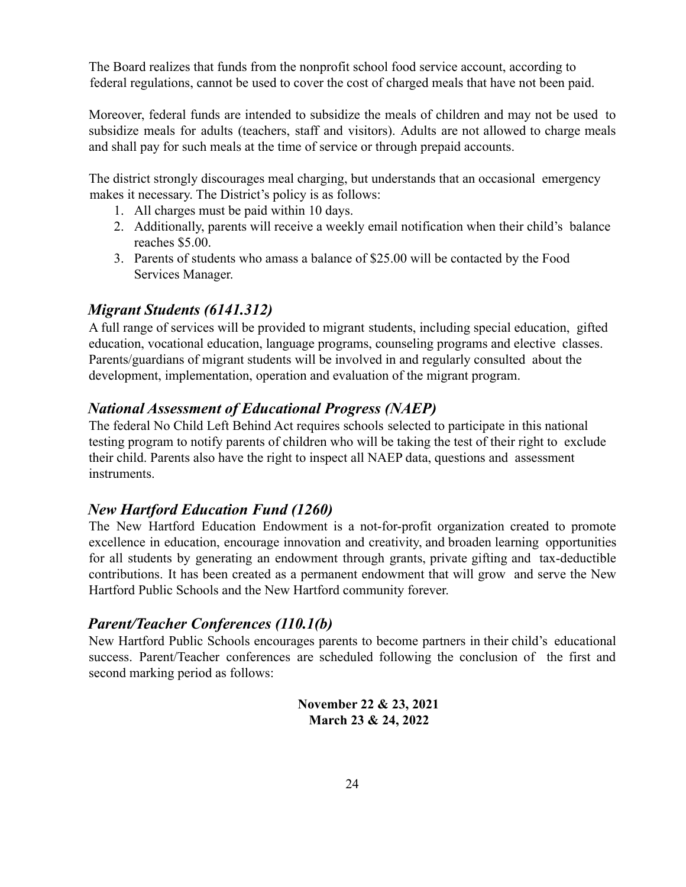The Board realizes that funds from the nonprofit school food service account, according to federal regulations, cannot be used to cover the cost of charged meals that have not been paid.

Moreover, federal funds are intended to subsidize the meals of children and may not be used to subsidize meals for adults (teachers, staff and visitors). Adults are not allowed to charge meals and shall pay for such meals at the time of service or through prepaid accounts.

The district strongly discourages meal charging, but understands that an occasional emergency makes it necessary. The District's policy is as follows:

- 1. All charges must be paid within 10 days.
- 2. Additionally, parents will receive a weekly email notification when their child's balance reaches \$5.00.
- 3. Parents of students who amass a balance of \$25.00 will be contacted by the Food Services Manager.

# *Migrant Students (6141.312)*

A full range of services will be provided to migrant students, including special education, gifted education, vocational education, language programs, counseling programs and elective classes. Parents/guardians of migrant students will be involved in and regularly consulted about the development, implementation, operation and evaluation of the migrant program.

# *National Assessment of Educational Progress (NAEP)*

The federal No Child Left Behind Act requires schools selected to participate in this national testing program to notify parents of children who will be taking the test of their right to exclude their child. Parents also have the right to inspect all NAEP data, questions and assessment instruments.

# *New Hartford Education Fund (1260)*

The New Hartford Education Endowment is a not-for-profit organization created to promote excellence in education, encourage innovation and creativity, and broaden learning opportunities for all students by generating an endowment through grants, private gifting and tax-deductible contributions. It has been created as a permanent endowment that will grow and serve the New Hartford Public Schools and the New Hartford community forever.

# *Parent/Teacher Conferences (110.1(b)*

New Hartford Public Schools encourages parents to become partners in their child's educational success. Parent/Teacher conferences are scheduled following the conclusion of the first and second marking period as follows:

> **November 22 & 23, 2021 March 23 & 24, 2022**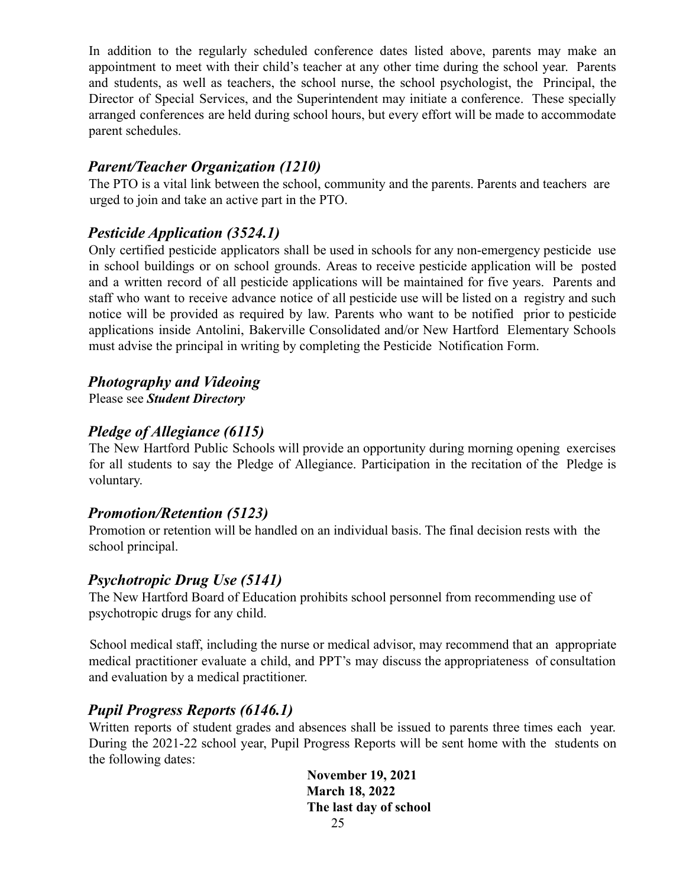In addition to the regularly scheduled conference dates listed above, parents may make an appointment to meet with their child's teacher at any other time during the school year. Parents and students, as well as teachers, the school nurse, the school psychologist, the Principal, the Director of Special Services, and the Superintendent may initiate a conference. These specially arranged conferences are held during school hours, but every effort will be made to accommodate parent schedules.

# *Parent/Teacher Organization (1210)*

The PTO is a vital link between the school, community and the parents. Parents and teachers are urged to join and take an active part in the PTO.

# *Pesticide Application (3524.1)*

Only certified pesticide applicators shall be used in schools for any non-emergency pesticide use in school buildings or on school grounds. Areas to receive pesticide application will be posted and a written record of all pesticide applications will be maintained for five years. Parents and staff who want to receive advance notice of all pesticide use will be listed on a registry and such notice will be provided as required by law. Parents who want to be notified prior to pesticide applications inside Antolini, Bakerville Consolidated and/or New Hartford Elementary Schools must advise the principal in writing by completing the Pesticide Notification Form.

# *Photography and Videoing*

Please see *Student Directory*

# *Pledge of Allegiance (6115)*

The New Hartford Public Schools will provide an opportunity during morning opening exercises for all students to say the Pledge of Allegiance. Participation in the recitation of the Pledge is voluntary.

# *Promotion/Retention (5123)*

Promotion or retention will be handled on an individual basis. The final decision rests with the school principal.

# *Psychotropic Drug Use (5141)*

The New Hartford Board of Education prohibits school personnel from recommending use of psychotropic drugs for any child.

School medical staff, including the nurse or medical advisor, may recommend that an appropriate medical practitioner evaluate a child, and PPT's may discuss the appropriateness of consultation and evaluation by a medical practitioner.

# *Pupil Progress Reports (6146.1)*

Written reports of student grades and absences shall be issued to parents three times each year. During the 2021-22 school year, Pupil Progress Reports will be sent home with the students on the following dates:

> **November 19, 2021 March 18, 2022 The last day of school** 25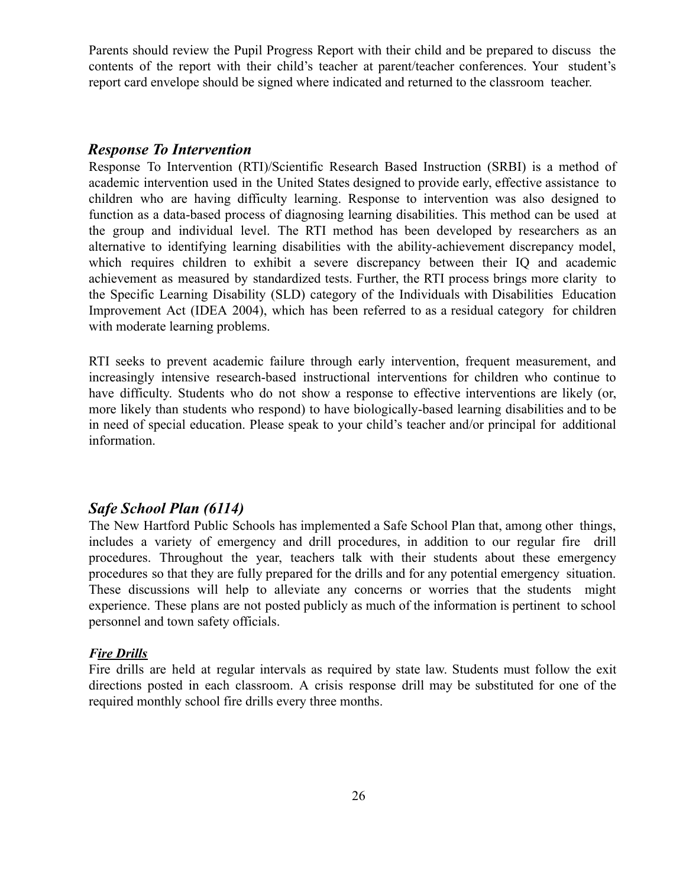Parents should review the Pupil Progress Report with their child and be prepared to discuss the contents of the report with their child's teacher at parent/teacher conferences. Your student's report card envelope should be signed where indicated and returned to the classroom teacher.

#### *Response To Intervention*

Response To Intervention (RTI)/Scientific Research Based Instruction (SRBI) is a method of academic intervention used in the United States designed to provide early, effective assistance to children who are having difficulty learning. Response to intervention was also designed to function as a data-based process of diagnosing learning disabilities. This method can be used at the group and individual level. The RTI method has been developed by researchers as an alternative to identifying learning disabilities with the ability-achievement discrepancy model, which requires children to exhibit a severe discrepancy between their IQ and academic achievement as measured by standardized tests. Further, the RTI process brings more clarity to the Specific Learning Disability (SLD) category of the Individuals with Disabilities Education Improvement Act (IDEA 2004), which has been referred to as a residual category for children with moderate learning problems.

RTI seeks to prevent academic failure through early intervention, frequent measurement, and increasingly intensive research-based instructional interventions for children who continue to have difficulty. Students who do not show a response to effective interventions are likely (or, more likely than students who respond) to have biologically-based learning disabilities and to be in need of special education. Please speak to your child's teacher and/or principal for additional information.

#### *Safe School Plan (6114)*

The New Hartford Public Schools has implemented a Safe School Plan that, among other things, includes a variety of emergency and drill procedures, in addition to our regular fire drill procedures. Throughout the year, teachers talk with their students about these emergency procedures so that they are fully prepared for the drills and for any potential emergency situation. These discussions will help to alleviate any concerns or worries that the students might experience. These plans are not posted publicly as much of the information is pertinent to school personnel and town safety officials.

#### *Fire Drills*

Fire drills are held at regular intervals as required by state law. Students must follow the exit directions posted in each classroom. A crisis response drill may be substituted for one of the required monthly school fire drills every three months.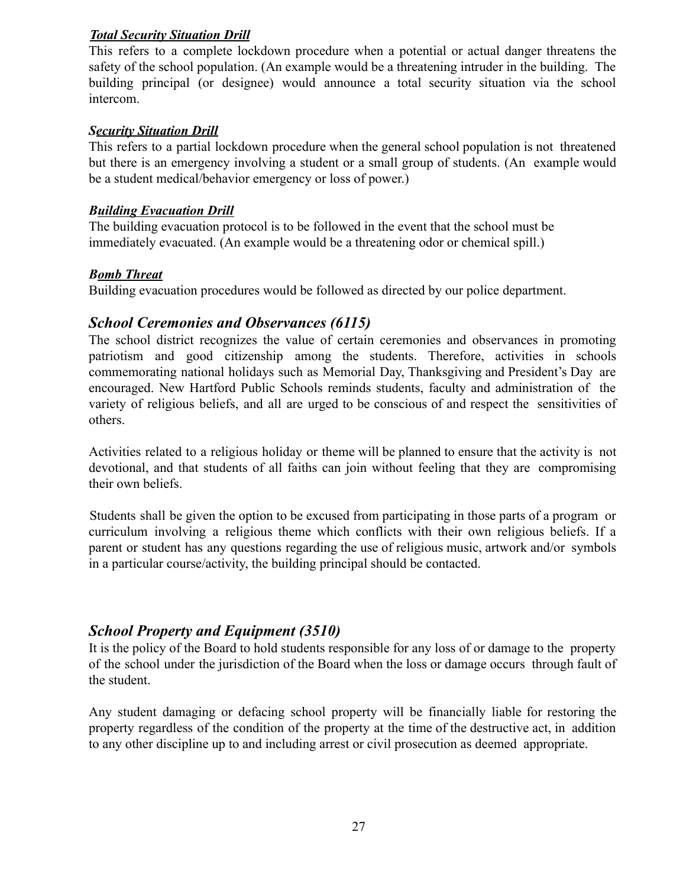#### *Total Security Situation Drill*

This refers to a complete lockdown procedure when a potential or actual danger threatens the safety of the school population. (An example would be a threatening intruder in the building. The building principal (or designee) would announce a total security situation via the school intercom.

#### *Security Situation Drill*

This refers to a partial lockdown procedure when the general school population is not threatened but there is an emergency involving a student or a small group of students. (An example would be a student medical/behavior emergency or loss of power.)

#### *Building Evacuation Drill*

The building evacuation protocol is to be followed in the event that the school must be immediately evacuated. (An example would be a threatening odor or chemical spill.)

#### *Bomb Threat*

Building evacuation procedures would be followed as directed by our police department.

## *School Ceremonies and Observances (6115)*

The school district recognizes the value of certain ceremonies and observances in promoting patriotism and good citizenship among the students. Therefore, activities in schools commemorating national holidays such as Memorial Day, Thanksgiving and President's Day are encouraged. New Hartford Public Schools reminds students, faculty and administration of the variety of religious beliefs, and all are urged to be conscious of and respect the sensitivities of others.

Activities related to a religious holiday or theme will be planned to ensure that the activity is not devotional, and that students of all faiths can join without feeling that they are compromising their own beliefs.

Students shall be given the option to be excused from participating in those parts of a program or curriculum involving a religious theme which conflicts with their own religious beliefs. If a parent or student has any questions regarding the use of religious music, artwork and/or symbols in a particular course/activity, the building principal should be contacted.

# *School Property and Equipment (3510)*

It is the policy of the Board to hold students responsible for any loss of or damage to the property of the school under the jurisdiction of the Board when the loss or damage occurs through fault of the student.

Any student damaging or defacing school property will be financially liable for restoring the property regardless of the condition of the property at the time of the destructive act, in addition to any other discipline up to and including arrest or civil prosecution as deemed appropriate.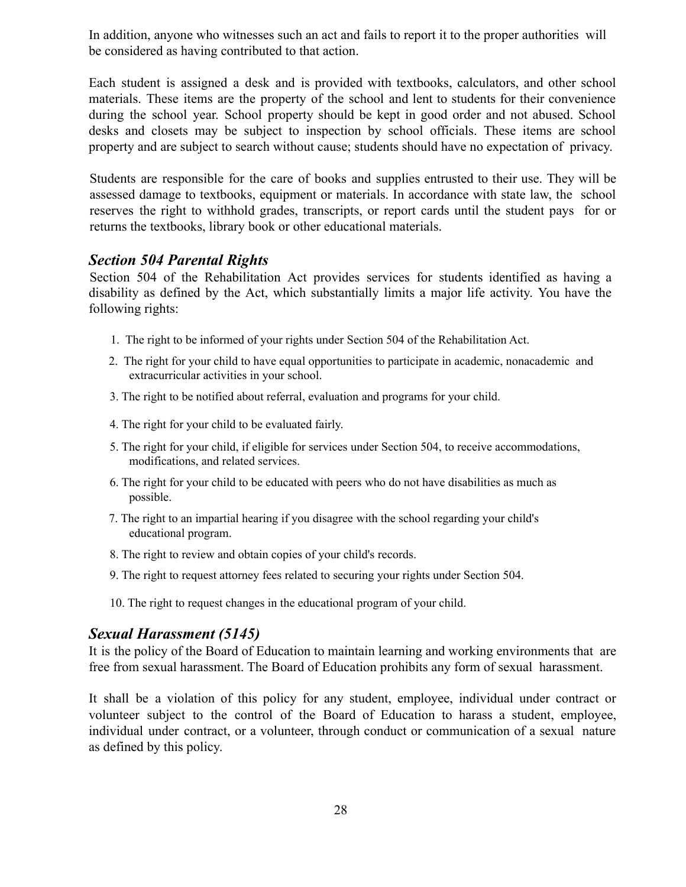In addition, anyone who witnesses such an act and fails to report it to the proper authorities will be considered as having contributed to that action.

Each student is assigned a desk and is provided with textbooks, calculators, and other school materials. These items are the property of the school and lent to students for their convenience during the school year. School property should be kept in good order and not abused. School desks and closets may be subject to inspection by school officials. These items are school property and are subject to search without cause; students should have no expectation of privacy.

Students are responsible for the care of books and supplies entrusted to their use. They will be assessed damage to textbooks, equipment or materials. In accordance with state law, the school reserves the right to withhold grades, transcripts, or report cards until the student pays for or returns the textbooks, library book or other educational materials.

#### *Section 504 Parental Rights*

Section 504 of the Rehabilitation Act provides services for students identified as having a disability as defined by the Act, which substantially limits a major life activity. You have the following rights:

- 1. The right to be informed of your rights under Section 504 of the Rehabilitation Act.
- 2. The right for your child to have equal opportunities to participate in academic, nonacademic and extracurricular activities in your school.
- 3. The right to be notified about referral, evaluation and programs for your child.
- 4. The right for your child to be evaluated fairly.
- 5. The right for your child, if eligible for services under Section 504, to receive accommodations, modifications, and related services.
- 6. The right for your child to be educated with peers who do not have disabilities as much as possible.
- 7. The right to an impartial hearing if you disagree with the school regarding your child's educational program.
- 8. The right to review and obtain copies of your child's records.
- 9. The right to request attorney fees related to securing your rights under Section 504.
- 10. The right to request changes in the educational program of your child.

#### *Sexual Harassment (5145)*

It is the policy of the Board of Education to maintain learning and working environments that are free from sexual harassment. The Board of Education prohibits any form of sexual harassment.

It shall be a violation of this policy for any student, employee, individual under contract or volunteer subject to the control of the Board of Education to harass a student, employee, individual under contract, or a volunteer, through conduct or communication of a sexual nature as defined by this policy.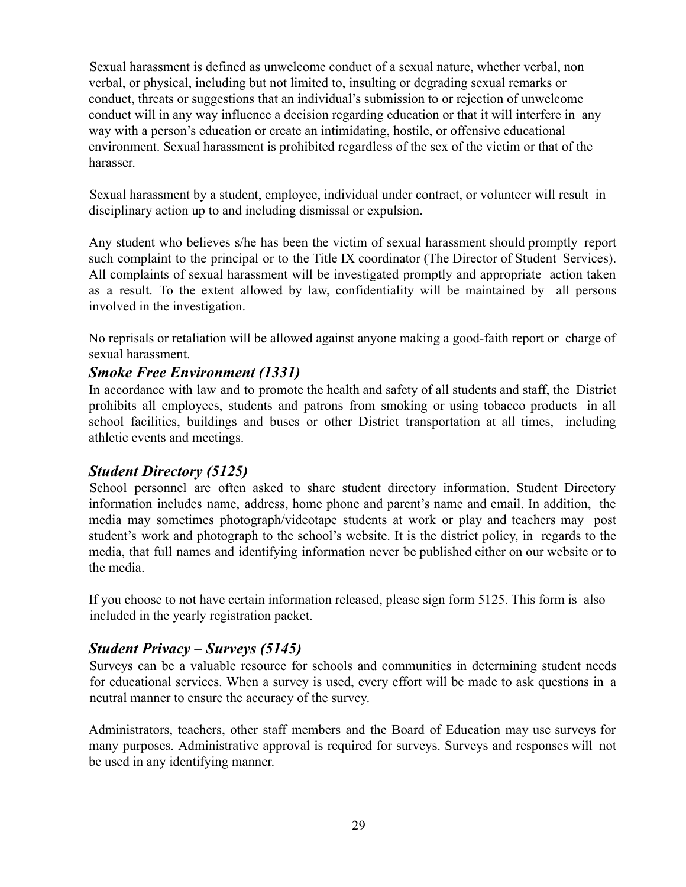Sexual harassment is defined as unwelcome conduct of a sexual nature, whether verbal, non verbal, or physical, including but not limited to, insulting or degrading sexual remarks or conduct, threats or suggestions that an individual's submission to or rejection of unwelcome conduct will in any way influence a decision regarding education or that it will interfere in any way with a person's education or create an intimidating, hostile, or offensive educational environment. Sexual harassment is prohibited regardless of the sex of the victim or that of the harasser.

Sexual harassment by a student, employee, individual under contract, or volunteer will result in disciplinary action up to and including dismissal or expulsion.

Any student who believes s/he has been the victim of sexual harassment should promptly report such complaint to the principal or to the Title IX coordinator (The Director of Student Services). All complaints of sexual harassment will be investigated promptly and appropriate action taken as a result. To the extent allowed by law, confidentiality will be maintained by all persons involved in the investigation.

No reprisals or retaliation will be allowed against anyone making a good-faith report or charge of sexual harassment.

# *Smoke Free Environment (1331)*

In accordance with law and to promote the health and safety of all students and staff, the District prohibits all employees, students and patrons from smoking or using tobacco products in all school facilities, buildings and buses or other District transportation at all times, including athletic events and meetings.

# *Student Directory (5125)*

School personnel are often asked to share student directory information. Student Directory information includes name, address, home phone and parent's name and email. In addition, the media may sometimes photograph/videotape students at work or play and teachers may post student's work and photograph to the school's website. It is the district policy, in regards to the media, that full names and identifying information never be published either on our website or to the media.

If you choose to not have certain information released, please sign form 5125. This form is also included in the yearly registration packet.

# *Student Privacy – Surveys (5145)*

Surveys can be a valuable resource for schools and communities in determining student needs for educational services. When a survey is used, every effort will be made to ask questions in a neutral manner to ensure the accuracy of the survey.

Administrators, teachers, other staff members and the Board of Education may use surveys for many purposes. Administrative approval is required for surveys. Surveys and responses will not be used in any identifying manner.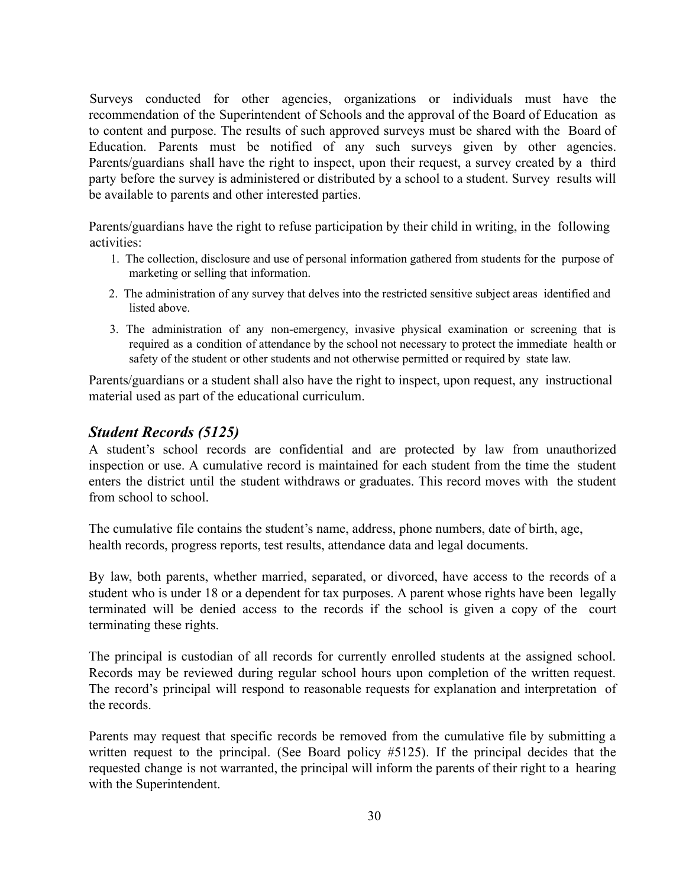Surveys conducted for other agencies, organizations or individuals must have the recommendation of the Superintendent of Schools and the approval of the Board of Education as to content and purpose. The results of such approved surveys must be shared with the Board of Education. Parents must be notified of any such surveys given by other agencies. Parents/guardians shall have the right to inspect, upon their request, a survey created by a third party before the survey is administered or distributed by a school to a student. Survey results will be available to parents and other interested parties.

Parents/guardians have the right to refuse participation by their child in writing, in the following activities:

- 1. The collection, disclosure and use of personal information gathered from students for the purpose of marketing or selling that information.
- 2. The administration of any survey that delves into the restricted sensitive subject areas identified and listed above.
- 3. The administration of any non-emergency, invasive physical examination or screening that is required as a condition of attendance by the school not necessary to protect the immediate health or safety of the student or other students and not otherwise permitted or required by state law.

Parents/guardians or a student shall also have the right to inspect, upon request, any instructional material used as part of the educational curriculum.

## *Student Records (5125)*

A student's school records are confidential and are protected by law from unauthorized inspection or use. A cumulative record is maintained for each student from the time the student enters the district until the student withdraws or graduates. This record moves with the student from school to school.

The cumulative file contains the student's name, address, phone numbers, date of birth, age, health records, progress reports, test results, attendance data and legal documents.

By law, both parents, whether married, separated, or divorced, have access to the records of a student who is under 18 or a dependent for tax purposes. A parent whose rights have been legally terminated will be denied access to the records if the school is given a copy of the court terminating these rights.

The principal is custodian of all records for currently enrolled students at the assigned school. Records may be reviewed during regular school hours upon completion of the written request. The record's principal will respond to reasonable requests for explanation and interpretation of the records.

Parents may request that specific records be removed from the cumulative file by submitting a written request to the principal. (See Board policy #5125). If the principal decides that the requested change is not warranted, the principal will inform the parents of their right to a hearing with the Superintendent.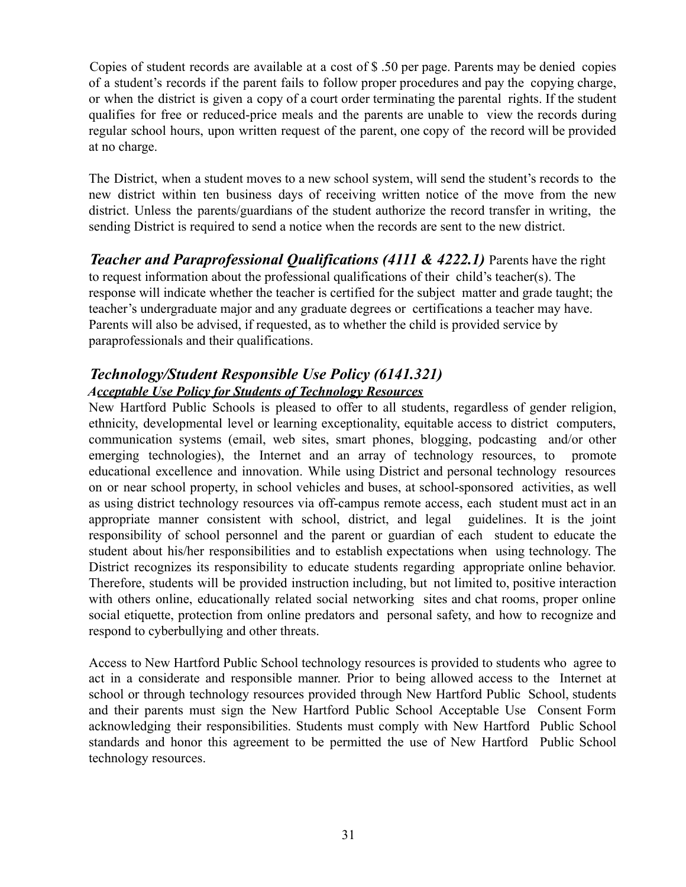Copies of student records are available at a cost of \$ .50 per page. Parents may be denied copies of a student's records if the parent fails to follow proper procedures and pay the copying charge, or when the district is given a copy of a court order terminating the parental rights. If the student qualifies for free or reduced-price meals and the parents are unable to view the records during regular school hours, upon written request of the parent, one copy of the record will be provided at no charge.

The District, when a student moves to a new school system, will send the student's records to the new district within ten business days of receiving written notice of the move from the new district. Unless the parents/guardians of the student authorize the record transfer in writing, the sending District is required to send a notice when the records are sent to the new district.

*Teacher and Paraprofessional Qualifications (4111 & 4222.1)* Parents have the right to request information about the professional qualifications of their child's teacher(s). The response will indicate whether the teacher is certified for the subject matter and grade taught; the teacher's undergraduate major and any graduate degrees or certifications a teacher may have. Parents will also be advised, if requested, as to whether the child is provided service by paraprofessionals and their qualifications.

# *Technology/Student Responsible Use Policy (6141.321) Acceptable Use Policy for Students of Technology Resources*

New Hartford Public Schools is pleased to offer to all students, regardless of gender religion, ethnicity, developmental level or learning exceptionality, equitable access to district computers, communication systems (email, web sites, smart phones, blogging, podcasting and/or other emerging technologies), the Internet and an array of technology resources, to promote educational excellence and innovation. While using District and personal technology resources on or near school property, in school vehicles and buses, at school-sponsored activities, as well as using district technology resources via off-campus remote access, each student must act in an appropriate manner consistent with school, district, and legal guidelines. It is the joint responsibility of school personnel and the parent or guardian of each student to educate the student about his/her responsibilities and to establish expectations when using technology. The District recognizes its responsibility to educate students regarding appropriate online behavior. Therefore, students will be provided instruction including, but not limited to, positive interaction with others online, educationally related social networking sites and chat rooms, proper online social etiquette, protection from online predators and personal safety, and how to recognize and respond to cyberbullying and other threats.

Access to New Hartford Public School technology resources is provided to students who agree to act in a considerate and responsible manner. Prior to being allowed access to the Internet at school or through technology resources provided through New Hartford Public School, students and their parents must sign the New Hartford Public School Acceptable Use Consent Form acknowledging their responsibilities. Students must comply with New Hartford Public School standards and honor this agreement to be permitted the use of New Hartford Public School technology resources.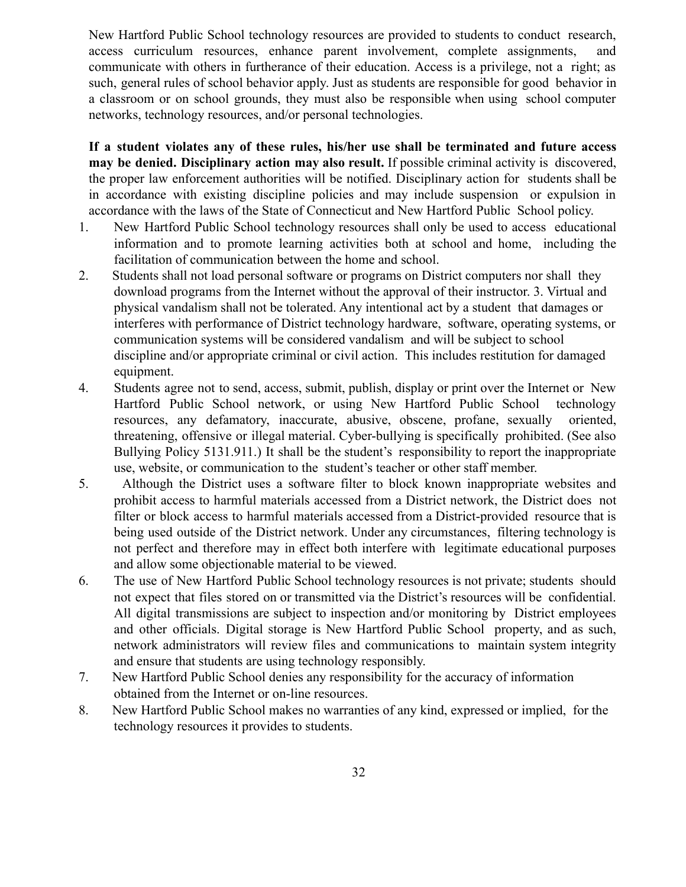New Hartford Public School technology resources are provided to students to conduct research, access curriculum resources, enhance parent involvement, complete assignments, and communicate with others in furtherance of their education. Access is a privilege, not a right; as such, general rules of school behavior apply. Just as students are responsible for good behavior in a classroom or on school grounds, they must also be responsible when using school computer networks, technology resources, and/or personal technologies.

**If a student violates any of these rules, his/her use shall be terminated and future access may be denied. Disciplinary action may also result.** If possible criminal activity is discovered, the proper law enforcement authorities will be notified. Disciplinary action for students shall be in accordance with existing discipline policies and may include suspension or expulsion in accordance with the laws of the State of Connecticut and New Hartford Public School policy.

- 1. New Hartford Public School technology resources shall only be used to access educational information and to promote learning activities both at school and home, including the facilitation of communication between the home and school.
- 2. Students shall not load personal software or programs on District computers nor shall they download programs from the Internet without the approval of their instructor. 3. Virtual and physical vandalism shall not be tolerated. Any intentional act by a student that damages or interferes with performance of District technology hardware, software, operating systems, or communication systems will be considered vandalism and will be subject to school discipline and/or appropriate criminal or civil action. This includes restitution for damaged equipment.
- 4. Students agree not to send, access, submit, publish, display or print over the Internet or New Hartford Public School network, or using New Hartford Public School technology resources, any defamatory, inaccurate, abusive, obscene, profane, sexually oriented, threatening, offensive or illegal material. Cyber-bullying is specifically prohibited. (See also Bullying Policy 5131.911.) It shall be the student's responsibility to report the inappropriate use, website, or communication to the student's teacher or other staff member.
- 5. Although the District uses a software filter to block known inappropriate websites and prohibit access to harmful materials accessed from a District network, the District does not filter or block access to harmful materials accessed from a District-provided resource that is being used outside of the District network. Under any circumstances, filtering technology is not perfect and therefore may in effect both interfere with legitimate educational purposes and allow some objectionable material to be viewed.
- 6. The use of New Hartford Public School technology resources is not private; students should not expect that files stored on or transmitted via the District's resources will be confidential. All digital transmissions are subject to inspection and/or monitoring by District employees and other officials. Digital storage is New Hartford Public School property, and as such, network administrators will review files and communications to maintain system integrity and ensure that students are using technology responsibly.
- 7. New Hartford Public School denies any responsibility for the accuracy of information obtained from the Internet or on-line resources.
- 8. New Hartford Public School makes no warranties of any kind, expressed or implied, for the technology resources it provides to students.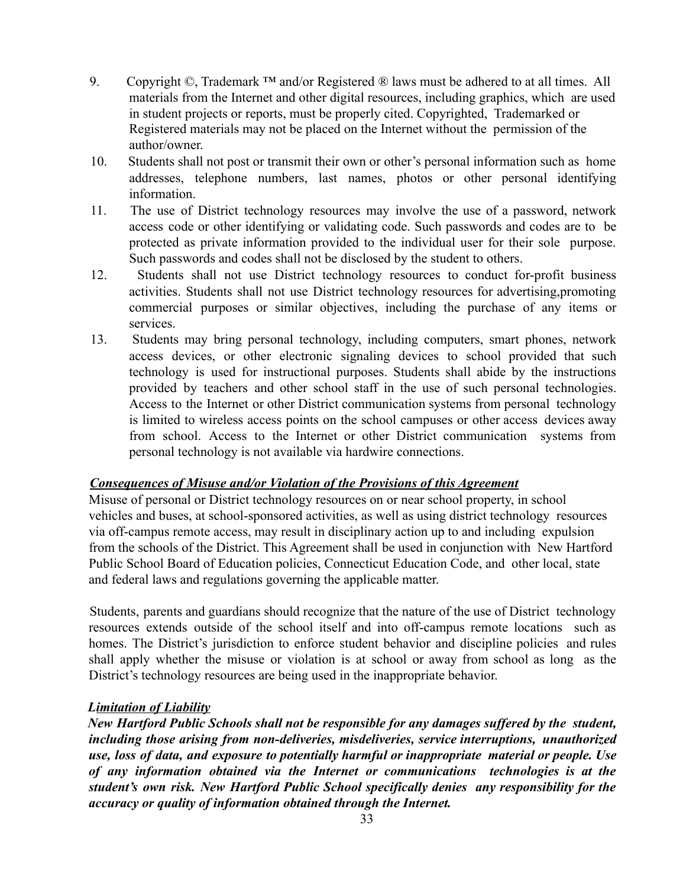- 9. Copyright  $\mathbb{O}$ , Trademark <sup>TM</sup> and/or Registered  $\mathbb{O}$  laws must be adhered to at all times. All materials from the Internet and other digital resources, including graphics, which are used in student projects or reports, must be properly cited. Copyrighted, Trademarked or Registered materials may not be placed on the Internet without the permission of the author/owner.
- 10. Students shall not post or transmit their own or other's personal information such as home addresses, telephone numbers, last names, photos or other personal identifying information.
- 11. The use of District technology resources may involve the use of a password, network access code or other identifying or validating code. Such passwords and codes are to be protected as private information provided to the individual user for their sole purpose. Such passwords and codes shall not be disclosed by the student to others.
- 12. Students shall not use District technology resources to conduct for-profit business activities. Students shall not use District technology resources for advertising,promoting commercial purposes or similar objectives, including the purchase of any items or services.
- 13. Students may bring personal technology, including computers, smart phones, network access devices, or other electronic signaling devices to school provided that such technology is used for instructional purposes. Students shall abide by the instructions provided by teachers and other school staff in the use of such personal technologies. Access to the Internet or other District communication systems from personal technology is limited to wireless access points on the school campuses or other access devices away from school. Access to the Internet or other District communication systems from personal technology is not available via hardwire connections.

#### *Consequences of Misuse and/or Violation of the Provisions of this Agreement*

Misuse of personal or District technology resources on or near school property, in school vehicles and buses, at school-sponsored activities, as well as using district technology resources via off-campus remote access, may result in disciplinary action up to and including expulsion from the schools of the District. This Agreement shall be used in conjunction with New Hartford Public School Board of Education policies, Connecticut Education Code, and other local, state and federal laws and regulations governing the applicable matter.

Students, parents and guardians should recognize that the nature of the use of District technology resources extends outside of the school itself and into off-campus remote locations such as homes. The District's jurisdiction to enforce student behavior and discipline policies and rules shall apply whether the misuse or violation is at school or away from school as long as the District's technology resources are being used in the inappropriate behavior.

#### *Limitation of Liability*

*New Hartford Public Schools shall not be responsible for any damages suffered by the student, including those arising from non-deliveries, misdeliveries, service interruptions, unauthorized use, loss of data, and exposure to potentially harmful or inappropriate material or people. Use of any information obtained via the Internet or communications technologies is at the student's own risk. New Hartford Public School specifically denies any responsibility for the accuracy or quality of information obtained through the Internet.*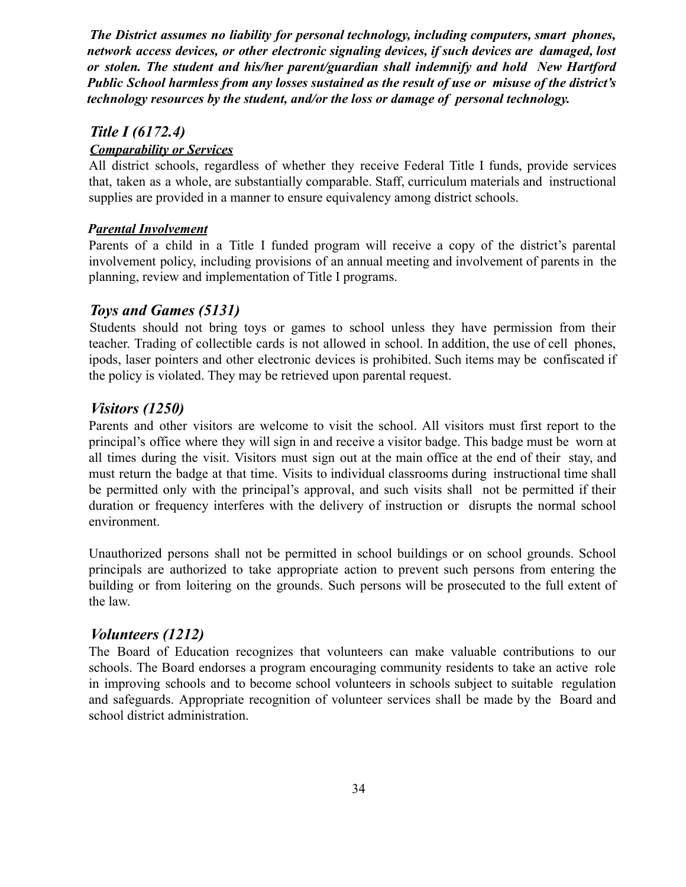*The District assumes no liability for personal technology, including computers, smart phones, network access devices, or other electronic signaling devices, if such devices are damaged, lost or stolen. The student and his/her parent/guardian shall indemnify and hold New Hartford Public School harmless from any losses sustained as the result of use or misuse of the district's technology resources by the student, and/or the loss or damage of personal technology.*

## *Title I (6172.4)*

#### *Comparability or Services*

All district schools, regardless of whether they receive Federal Title I funds, provide services that, taken as a whole, are substantially comparable. Staff, curriculum materials and instructional supplies are provided in a manner to ensure equivalency among district schools.

#### *Parental Involvement*

Parents of a child in a Title I funded program will receive a copy of the district's parental involvement policy, including provisions of an annual meeting and involvement of parents in the planning, review and implementation of Title I programs.

## *Toys and Games (5131)*

Students should not bring toys or games to school unless they have permission from their teacher. Trading of collectible cards is not allowed in school. In addition, the use of cell phones, ipods, laser pointers and other electronic devices is prohibited. Such items may be confiscated if the policy is violated. They may be retrieved upon parental request.

# *Visitors (1250)*

Parents and other visitors are welcome to visit the school. All visitors must first report to the principal's office where they will sign in and receive a visitor badge. This badge must be worn at all times during the visit. Visitors must sign out at the main office at the end of their stay, and must return the badge at that time. Visits to individual classrooms during instructional time shall be permitted only with the principal's approval, and such visits shall not be permitted if their duration or frequency interferes with the delivery of instruction or disrupts the normal school environment.

Unauthorized persons shall not be permitted in school buildings or on school grounds. School principals are authorized to take appropriate action to prevent such persons from entering the building or from loitering on the grounds. Such persons will be prosecuted to the full extent of the law.

# *Volunteers (1212)*

The Board of Education recognizes that volunteers can make valuable contributions to our schools. The Board endorses a program encouraging community residents to take an active role in improving schools and to become school volunteers in schools subject to suitable regulation and safeguards. Appropriate recognition of volunteer services shall be made by the Board and school district administration.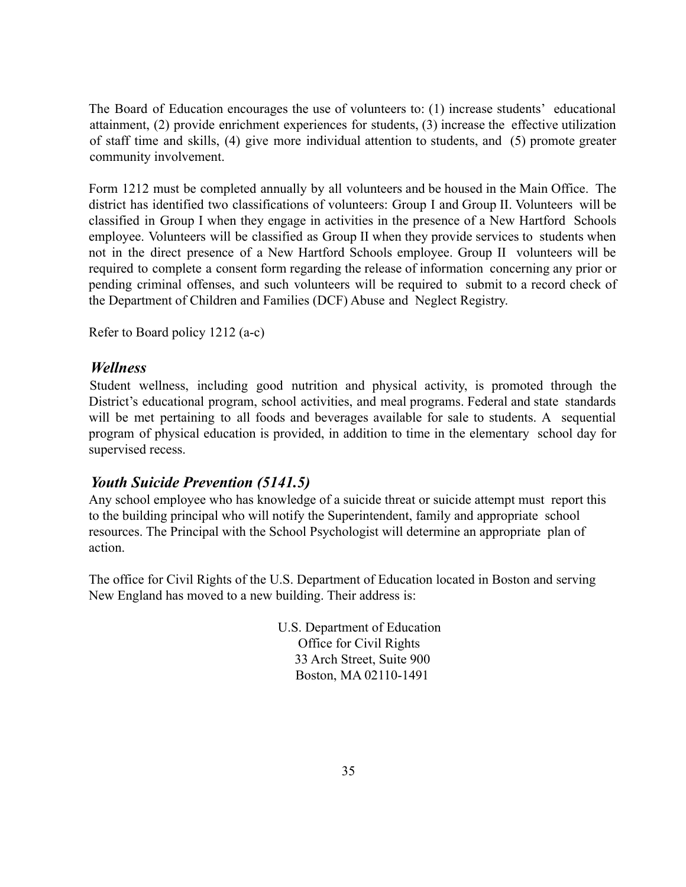The Board of Education encourages the use of volunteers to: (1) increase students' educational attainment, (2) provide enrichment experiences for students, (3) increase the effective utilization of staff time and skills, (4) give more individual attention to students, and (5) promote greater community involvement.

Form 1212 must be completed annually by all volunteers and be housed in the Main Office. The district has identified two classifications of volunteers: Group I and Group II. Volunteers will be classified in Group I when they engage in activities in the presence of a New Hartford Schools employee. Volunteers will be classified as Group II when they provide services to students when not in the direct presence of a New Hartford Schools employee. Group II volunteers will be required to complete a consent form regarding the release of information concerning any prior or pending criminal offenses, and such volunteers will be required to submit to a record check of the Department of Children and Families (DCF) Abuse and Neglect Registry.

Refer to Board policy 1212 (a-c)

## *Wellness*

Student wellness, including good nutrition and physical activity, is promoted through the District's educational program, school activities, and meal programs. Federal and state standards will be met pertaining to all foods and beverages available for sale to students. A sequential program of physical education is provided, in addition to time in the elementary school day for supervised recess.

# *Youth Suicide Prevention (5141.5)*

Any school employee who has knowledge of a suicide threat or suicide attempt must report this to the building principal who will notify the Superintendent, family and appropriate school resources. The Principal with the School Psychologist will determine an appropriate plan of action.

The office for Civil Rights of the U.S. Department of Education located in Boston and serving New England has moved to a new building. Their address is:

> U.S. Department of Education Office for Civil Rights 33 Arch Street, Suite 900 Boston, MA 02110-1491